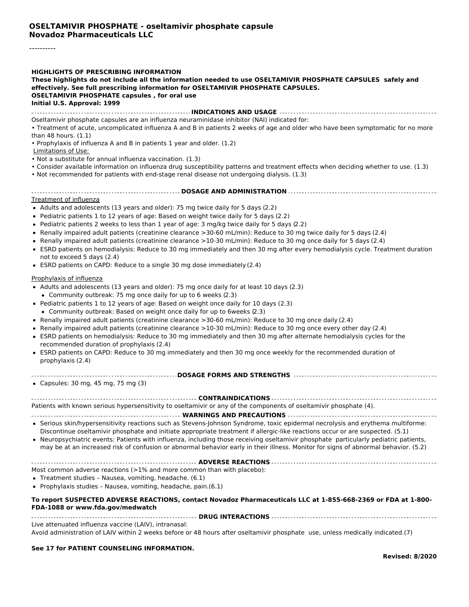----------

#### **HIGHLIGHTS OF PRESCRIBING INFORMATION**

**These highlights do not include all the information needed to use OSELTAMIVIR PHOSPHATE CAPSULES safely and effectively. See full prescribing information for OSELTAMIVIR PHOSPHATE CAPSULES. OSELTAMIVIR PHOSPHATE capsules , for oral use Initial U.S. Approval: 1999**

**INDICATIONS AND USAGE**

Oseltamivir phosphate capsules are an influenza neuraminidase inhibitor (NAI) indicated for:

• Treatment of acute, uncomplicated influenza A and B in patients 2 weeks of age and older who have been symptomatic for no more than 48 hours. (1.1)

• Prophylaxis of influenza A and B in patients 1 year and older. (1.2)

Limitations of Use:

- Not a substitute for annual influenza vaccination. (1.3)
- Consider available information on influenza drug susceptibility patterns and treatment effects when deciding whether to use. (1.3)
- Not recommended for patients with end-stage renal disease not undergoing dialysis. (1.3)
- **DOSAGE AND ADMINISTRATION**

#### Treatment of influenza

- Adults and adolescents (13 years and older): 75 mg twice daily for 5 days (2.2)
- Pediatric patients 1 to 12 years of age: Based on weight twice daily for 5 days (2.2)
- Pediatric patients 2 weeks to less than 1 year of age: 3 mg/kg twice daily for 5 days (2.2)
- Renally impaired adult patients (creatinine clearance >30-60 mL/min): Reduce to 30 mg twice daily for 5 days (2.4)
- Renally impaired adult patients (creatinine clearance >10-30 mL/min): Reduce to 30 mg once daily for 5 days (2.4)
- ESRD patients on hemodialysis: Reduce to 30 mg immediately and then 30 mg after every hemodialysis cycle. Treatment duration not to exceed 5 days (2.4)
- ESRD patients on CAPD: Reduce to a single 30 mg dose immediately (2.4)

#### Prophylaxis of influenza

- Adults and adolescents (13 years and older): 75 mg once daily for at least 10 days (2.3)
- Community outbreak: 75 mg once daily for up to 6 weeks (2.3)
- Pediatric patients 1 to 12 years of age: Based on weight once daily for 10 days (2.3)
- Community outbreak: Based on weight once daily for up to 6weeks (2.3)
- Renally impaired adult patients (creatinine clearance >30-60 mL/min): Reduce to 30 mg once daily (2.4)
- Renally impaired adult patients (creatinine clearance >10-30 mL/min): Reduce to 30 mg once every other day (2.4)
- ESRD patients on hemodialysis: Reduce to 30 mg immediately and then 30 mg after alternate hemodialysis cycles for the recommended duration of prophylaxis (2.4)
- ESRD patients on CAPD: Reduce to 30 mg immediately and then 30 mg once weekly for the recommended duration of prophylaxis (2.4)
- **DOSAGE FORMS AND STRENGTHS**
- Capsules: 30 mg, 45 mg, 75 mg (3)

Patients with known serious hypersensitivity to oseltamivir or any of the components of oseltamivir phosphate (4).

#### **WARNINGS AND PRECAUTIONS**

- Serious skin/hypersensitivity reactions such as Stevens-Johnson Syndrome, toxic epidermal necrolysis and erythema multiforme: Discontinue oseltamivir phosphate and initiate appropriate treatment if allergic-like reactions occur or are suspected. (5.1)
- Neuropsychiatric events: Patients with influenza, including those receiving oseltamivir phosphate particularly pediatric patients, may be at an increased risk of confusion or abnormal behavior early in their illness. Monitor for signs of abnormal behavior. (5.2)

**ADVERSE REACTIONS**

Most common adverse reactions (>1% and more common than with placebo):

- Treatment studies Nausea, vomiting, headache. (6.1)
- Prophylaxis studies Nausea, vomiting, headache, pain.(6.1)

#### **To report SUSPECTED ADVERSE REACTIONS, contact Novadoz Pharmaceuticals LLC at 1-855-668-2369 or FDA at 1-800- FDA-1088 or www.fda.gov/medwatch**

**DRUG INTERACTIONS** Live attenuated influenza vaccine (LAIV), intranasal: Avoid administration of LAIV within 2 weeks before or 48 hours after oseltamivir phosphate use, unless medically indicated.(7)

#### **See 17 for PATIENT COUNSELING INFORMATION.**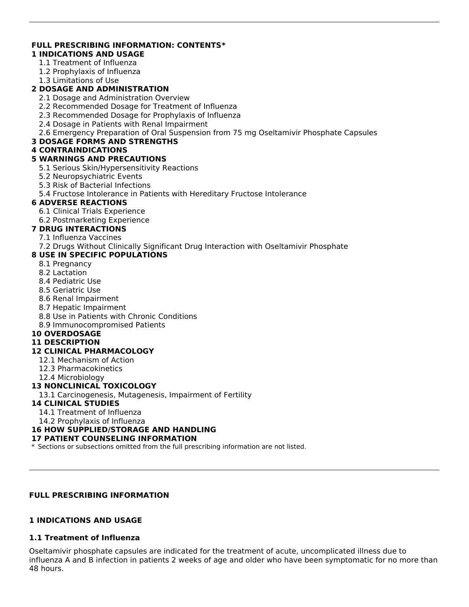# **FULL PRESCRIBING INFORMATION: CONTENTS\***

## **1 INDICATIONS AND USAGE**

- 1.1 Treatment of Influenza
- 1.2 Prophylaxis of Influenza
- 1.3 Limitations of Use

## **2 DOSAGE AND ADMINISTRATION**

- 2.1 Dosage and Administration Overview
- 2.2 Recommended Dosage for Treatment of Influenza
- 2.3 Recommended Dosage for Prophylaxis of Influenza
- 2.4 Dosage in Patients with Renal Impairment
- 2.6 Emergency Preparation of Oral Suspension from 75 mg Oseltamivir Phosphate Capsules

### **3 DOSAGE FORMS AND STRENGTHS**

### **4 CONTRAINDICATIONS**

### **5 WARNINGS AND PRECAUTIONS**

- 5.1 Serious Skin/Hypersensitivity Reactions
- 5.2 Neuropsychiatric Events
- 5.3 Risk of Bacterial Infections
- 5.4 Fructose Intolerance in Patients with Hereditary Fructose Intolerance

## **6 ADVERSE REACTIONS**

- 6.1 Clinical Trials Experience
- 6.2 Postmarketing Experience

## **7 DRUG INTERACTIONS**

- 7.1 Influenza Vaccines
- 7.2 Drugs Without Clinically Significant Drug Interaction with Oseltamivir Phosphate

## **8 USE IN SPECIFIC POPULATIONS**

- 8.1 Pregnancy
- 8.2 Lactation
- 8.4 Pediatric Use
- 8.5 Geriatric Use
- 8.6 Renal Impairment
- 8.7 Hepatic Impairment
- 8.8 Use in Patients with Chronic Conditions
- 8.9 Immunocompromised Patients

### **10 OVERDOSAGE**

### **11 DESCRIPTION**

### **12 CLINICAL PHARMACOLOGY**

- 12.1 Mechanism of Action
- 12.3 Pharmacokinetics
- 12.4 Microbiology

## **13 NONCLINICAL TOXICOLOGY**

13.1 Carcinogenesis, Mutagenesis, Impairment of Fertility

### **14 CLINICAL STUDIES**

- 14.1 Treatment of Influenza
- 14.2 Prophylaxis of Influenza

## **16 HOW SUPPLIED/STORAGE AND HANDLING**

### **17 PATIENT COUNSELING INFORMATION**

\* Sections or subsections omitted from the full prescribing information are not listed.

## **FULL PRESCRIBING INFORMATION**

## **1 INDICATIONS AND USAGE**

## **1.1 Treatment of Influenza**

Oseltamivir phosphate capsules are indicated for the treatment of acute, uncomplicated illness due to influenza A and B infection in patients 2 weeks of age and older who have been symptomatic for no more than 48 hours.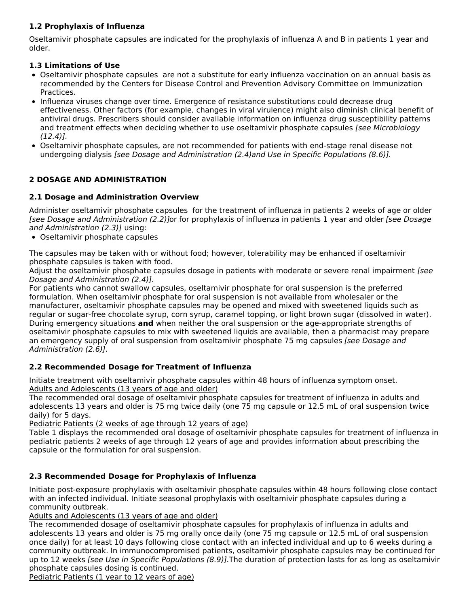## **1.2 Prophylaxis of Influenza**

Oseltamivir phosphate capsules are indicated for the prophylaxis of influenza A and B in patients 1 year and older.

## **1.3 Limitations of Use**

- Oseltamivir phosphate capsules are not a substitute for early influenza vaccination on an annual basis as recommended by the Centers for Disease Control and Prevention Advisory Committee on Immunization Practices.
- Influenza viruses change over time. Emergence of resistance substitutions could decrease drug effectiveness. Other factors (for example, changes in viral virulence) might also diminish clinical benefit of antiviral drugs. Prescribers should consider available information on influenza drug susceptibility patterns and treatment effects when deciding whether to use oseltamivir phosphate capsules *[see Microbiology* (12.4)].
- Oseltamivir phosphate capsules, are not recommended for patients with end-stage renal disease not undergoing dialysis [see Dosage and Administration (2.4)and Use in Specific Populations (8.6)].

## **2 DOSAGE AND ADMINISTRATION**

## **2.1 Dosage and Administration Overview**

Administer oseltamivir phosphate capsules for the treatment of influenza in patients 2 weeks of age or older [see Dosage and Administration (2.2)]or for prophylaxis of influenza in patients 1 year and older [see Dosage and Administration (2.3)] using:

Oseltamivir phosphate capsules

The capsules may be taken with or without food; however, tolerability may be enhanced if oseltamivir phosphate capsules is taken with food.

Adjust the oseltamivir phosphate capsules dosage in patients with moderate or severe renal impairment [see Dosage and Administration (2.4)].

For patients who cannot swallow capsules, oseltamivir phosphate for oral suspension is the preferred formulation. When oseltamivir phosphate for oral suspension is not available from wholesaler or the manufacturer, oseltamivir phosphate capsules may be opened and mixed with sweetened liquids such as regular or sugar-free chocolate syrup, corn syrup, caramel topping, or light brown sugar (dissolved in water). During emergency situations **and** when neither the oral suspension or the age-appropriate strengths of oseltamivir phosphate capsules to mix with sweetened liquids are available, then a pharmacist may prepare an emergency supply of oral suspension from oseltamivir phosphate 75 mg capsules [see Dosage and Administration (2.6)].

## **2.2 Recommended Dosage for Treatment of Influenza**

Initiate treatment with oseltamivir phosphate capsules within 48 hours of influenza symptom onset. Adults and Adolescents (13 years of age and older)

The recommended oral dosage of oseltamivir phosphate capsules for treatment of influenza in adults and adolescents 13 years and older is 75 mg twice daily (one 75 mg capsule or 12.5 mL of oral suspension twice daily) for 5 days.

Pediatric Patients (2 weeks of age through 12 years of age)

Table 1 displays the recommended oral dosage of oseltamivir phosphate capsules for treatment of influenza in pediatric patients 2 weeks of age through 12 years of age and provides information about prescribing the capsule or the formulation for oral suspension.

# **2.3 Recommended Dosage for Prophylaxis of Influenza**

Initiate post-exposure prophylaxis with oseltamivir phosphate capsules within 48 hours following close contact with an infected individual. Initiate seasonal prophylaxis with oseltamivir phosphate capsules during a community outbreak.

Adults and Adolescents (13 years of age and older)

The recommended dosage of oseltamivir phosphate capsules for prophylaxis of influenza in adults and adolescents 13 years and older is 75 mg orally once daily (one 75 mg capsule or 12.5 mL of oral suspension once daily) for at least 10 days following close contact with an infected individual and up to 6 weeks during a community outbreak. In immunocompromised patients, oseltamivir phosphate capsules may be continued for up to 12 weeks [see Use in Specific Populations (8.9)]. The duration of protection lasts for as long as oseltamivir phosphate capsules dosing is continued.

Pediatric Patients (1 year to 12 years of age)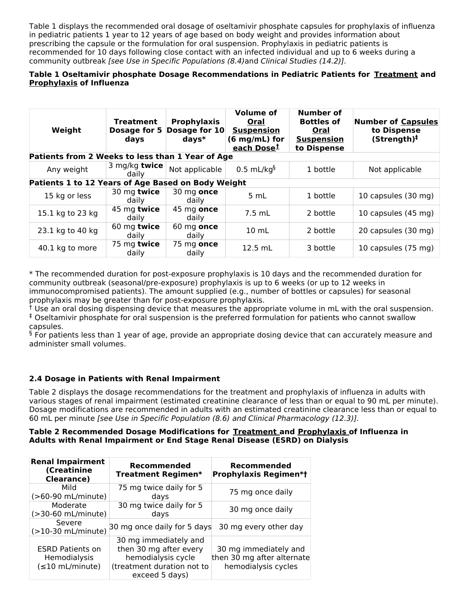Table 1 displays the recommended oral dosage of oseltamivir phosphate capsules for prophylaxis of influenza in pediatric patients 1 year to 12 years of age based on body weight and provides information about prescribing the capsule or the formulation for oral suspension. Prophylaxis in pediatric patients is recommended for 10 days following close contact with an infected individual and up to 6 weeks during a community outbreak [see Use in Specific Populations (8.4)and Clinical Studies (14.2)].

## **Table 1 Oseltamivir phosphate Dosage Recommendations in Pediatric Patients for Treatment and Prophylaxis of Influenza**

| Weight                                             | <b>Treatment</b><br>Dosage for 5<br>days | <b>Prophylaxis</b><br>Dosage for 10<br>$days*$ | <b>Volume of</b><br>Oral<br><b>Suspension</b><br>$(6 \text{ mg/mL})$ for<br>each Dose <sup>t</sup> | Number of<br><b>Bottles of</b><br>Oral<br><b>Suspension</b><br>to Dispense | Number of Capsules<br>to Dispense<br>(Stringth) <sup>‡</sup> |
|----------------------------------------------------|------------------------------------------|------------------------------------------------|----------------------------------------------------------------------------------------------------|----------------------------------------------------------------------------|--------------------------------------------------------------|
| Patients from 2 Weeks to less than 1 Year of Age   |                                          |                                                |                                                                                                    |                                                                            |                                                              |
| Any weight                                         | 3 mg/kg twice<br>daily                   | Not applicable                                 | $0.5$ mL/kg <sup>§</sup>                                                                           | 1 bottle                                                                   | Not applicable                                               |
| Patients 1 to 12 Years of Age Based on Body Weight |                                          |                                                |                                                                                                    |                                                                            |                                                              |
| 15 kg or less                                      | 30 mg twice<br>daily                     | 30 mg once<br>daily                            | 5 mL                                                                                               | 1 bottle                                                                   | 10 capsules (30 mg)                                          |
| 15.1 kg to 23 kg                                   | 45 mg twice<br>daily                     | 45 mg once<br>daily                            | 7.5 mL                                                                                             | 2 bottle                                                                   | 10 capsules (45 mg)                                          |
| 23.1 kg to 40 kg                                   | 60 mg twice<br>daily                     | $60$ mg once<br>daily                          | $10 \text{ mL}$                                                                                    | 2 bottle                                                                   | 20 capsules (30 mg)                                          |
| 40.1 kg to more                                    | 75 mg twice<br>daily                     | 75 mg once<br>daily                            | $12.5$ mL                                                                                          | 3 bottle                                                                   | 10 capsules (75 mg)                                          |

\* The recommended duration for post-exposure prophylaxis is 10 days and the recommended duration for community outbreak (seasonal/pre-exposure) prophylaxis is up to 6 weeks (or up to 12 weeks in immunocompromised patients). The amount supplied (e.g., number of bottles or capsules) for seasonal prophylaxis may be greater than for post-exposure prophylaxis.

 $\dagger$  Use an oral dosing dispensing device that measures the appropriate volume in mL with the oral suspension. Oseltamivir phosphate for oral suspension is the preferred formulation for patients who cannot swallow ‡ capsules.

 $\frac{6}{5}$  For patients less than 1 year of age, provide an appropriate dosing device that can accurately measure and administer small volumes.

## **2.4 Dosage in Patients with Renal Impairment**

Table 2 displays the dosage recommendations for the treatment and prophylaxis of influenza in adults with various stages of renal impairment (estimated creatinine clearance of less than or equal to 90 mL per minute). Dosage modifications are recommended in adults with an estimated creatinine clearance less than or equal to 60 mL per minute [see Use in Specific Population (8.6) and Clinical Pharmacology (12.3)].

### **Table 2 Recommended Dosage Modifications for Treatment and Prophylaxis of Influenza in Adults with Renal Impairment or End Stage Renal Disease (ESRD) on Dialysis**

| <b>Renal Impairment</b><br>(Creatinine<br><b>Clearance)</b>             | Recommended<br><b>Treatment Regimen*</b>                                                                              | Recommended<br><b>Prophylaxis Regimen*t</b>                                |  |
|-------------------------------------------------------------------------|-----------------------------------------------------------------------------------------------------------------------|----------------------------------------------------------------------------|--|
| Mild                                                                    | 75 mg twice daily for 5                                                                                               | 75 mg once daily                                                           |  |
| (>60-90 mL/minute)                                                      | davs                                                                                                                  |                                                                            |  |
| Moderate                                                                | 30 mg twice daily for 5                                                                                               | 30 mg once daily                                                           |  |
| $(>30-60$ mL/minute)                                                    | days                                                                                                                  |                                                                            |  |
| Severe<br>$(>10-30$ mL/minute)                                          | 30 mg once daily for 5 days                                                                                           | 30 mg every other day                                                      |  |
| <b>ESRD Patients on</b><br><b>Hemodialysis</b><br>$(\leq 10$ mL/minute) | 30 mg immediately and<br>then 30 mg after every<br>hemodialysis cycle<br>(treatment duration not to<br>exceed 5 days) | 30 mg immediately and<br>then 30 mg after alternate<br>hemodialysis cycles |  |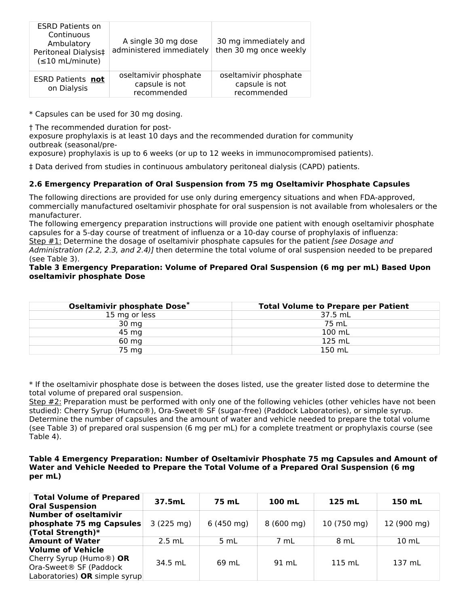| <b>ESRD Patients on</b><br>Continuous<br>Ambulatory<br>Peritoneal Dialysis‡<br>$(\leq 10$ mL/minute) | A single 30 mg dose<br>administered immediately        | 30 mg immediately and<br>then 30 mg once weekly        |
|------------------------------------------------------------------------------------------------------|--------------------------------------------------------|--------------------------------------------------------|
| <b>ESRD Patients not</b><br>on Dialysis                                                              | oseltamivir phosphate<br>capsule is not<br>recommended | oseltamivir phosphate<br>capsule is not<br>recommended |

\* Capsules can be used for 30 mg dosing.

† The recommended duration for post-

exposure prophylaxis is at least 10 days and the recommended duration for community outbreak (seasonal/pre-

exposure) prophylaxis is up to 6 weeks (or up to 12 weeks in immunocompromised patients).

‡ Data derived from studies in continuous ambulatory peritoneal dialysis (CAPD) patients.

## **2.6 Emergency Preparation of Oral Suspension from 75 mg Oseltamivir Phosphate Capsules**

The following directions are provided for use only during emergency situations and when FDA-approved, commercially manufactured oseltamivir phosphate for oral suspension is not available from wholesalers or the manufacturer.

The following emergency preparation instructions will provide one patient with enough oseltamivir phosphate capsules for a 5-day course of treatment of influenza or a 10-day course of prophylaxis of influenza:

Step #1: Determine the dosage of oseltamivir phosphate capsules for the patient [see Dosage and Administration (2.2, 2.3, and 2.4)] then determine the total volume of oral suspension needed to be prepared

(see Table 3).

### **Table 3 Emergency Preparation: Volume of Prepared Oral Suspension (6 mg per mL) Based Upon oseltamivir phosphate Dose**

| Oseltamivir phosphate Dose* | <b>Total Volume to Prepare per Patient</b> |
|-----------------------------|--------------------------------------------|
| 15 mg or less               | 37.5 mL                                    |
| $30 \, mg$                  | 75 mL                                      |
| 45 mg                       | 100 mL                                     |
| 60 mg                       | 125 mL                                     |
| 75 mg                       | 150 mL                                     |

\* If the oseltamivir phosphate dose is between the doses listed, use the greater listed dose to determine the total volume of prepared oral suspension.

Step #2: Preparation must be performed with only one of the following vehicles (other vehicles have not been studied): Cherry Syrup (Humco®), Ora-Sweet® SF (sugar-free) (Paddock Laboratories), or simple syrup. Determine the number of capsules and the amount of water and vehicle needed to prepare the total volume (see Table 3) of prepared oral suspension (6 mg per mL) for a complete treatment or prophylaxis course (see Table 4).

#### **Table 4 Emergency Preparation: Number of Oseltamivir Phosphate 75 mg Capsules and Amount of Water and Vehicle Needed to Prepare the Total Volume of a Prepared Oral Suspension (6 mg per mL)**

| <b>Total Volume of Prepared</b><br><b>Oral Suspension</b>                                                                               | 37.5mL              | 75 mL               | 100 mL              | 125 mL      | 150 mL          |
|-----------------------------------------------------------------------------------------------------------------------------------------|---------------------|---------------------|---------------------|-------------|-----------------|
| <b>Number of oseltamivir</b><br>phosphate 75 mg Capsules<br>(Total Strength)*                                                           | $3(225 \text{ mg})$ | $6(450 \text{ mg})$ | $8(600 \text{ mg})$ | 10 (750 mg) | 12 (900 mg)     |
| <b>Amount of Water</b>                                                                                                                  | $2.5$ mL            | 5 mL                | 7 mL                | 8 mL        | $10 \text{ mL}$ |
| <b>Volume of Vehicle</b><br>Cherry Syrup (Humo <sup>®</sup> ) OR<br>Ora-Sweet <sup>®</sup> SF (Paddock<br>Laboratories) OR simple syrup | 34.5 mL             | 69 mL               | 91 mL               | 115 mL      | 137 mL          |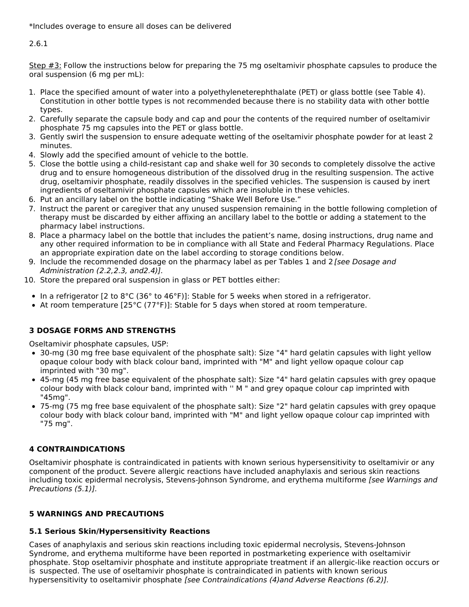2.6.1

Step #3: Follow the instructions below for preparing the 75 mg oseltamivir phosphate capsules to produce the oral suspension (6 mg per mL):

- 1. Place the specified amount of water into a polyethyleneterephthalate (PET) or glass bottle (see Table 4). Constitution in other bottle types is not recommended because there is no stability data with other bottle types.
- 2. Carefully separate the capsule body and cap and pour the contents of the required number of oseltamivir phosphate 75 mg capsules into the PET or glass bottle.
- 3. Gently swirl the suspension to ensure adequate wetting of the oseltamivir phosphate powder for at least 2 minutes.
- 4. Slowly add the specified amount of vehicle to the bottle.
- 5. Close the bottle using a child-resistant cap and shake well for 30 seconds to completely dissolve the active drug and to ensure homogeneous distribution of the dissolved drug in the resulting suspension. The active drug, oseltamivir phosphate, readily dissolves in the specified vehicles. The suspension is caused by inert ingredients of oseltamivir phosphate capsules which are insoluble in these vehicles.
- 6. Put an ancillary label on the bottle indicating "Shake Well Before Use."
- 7. Instruct the parent or caregiver that any unused suspension remaining in the bottle following completion of therapy must be discarded by either affixing an ancillary label to the bottle or adding a statement to the pharmacy label instructions.
- 8. Place a pharmacy label on the bottle that includes the patient's name, dosing instructions, drug name and any other required information to be in compliance with all State and Federal Pharmacy Regulations. Place an appropriate expiration date on the label according to storage conditions below.
- 9. Include the recommended dosage on the pharmacy label as per Tables 1 and 2 [see Dosage and Administration (2.2,2.3, and2.4)].
- 10. Store the prepared oral suspension in glass or PET bottles either:
	- In a refrigerator [2 to  $8^{\circ}$ C (36 $^{\circ}$  to 46 $^{\circ}$ F)]: Stable for 5 weeks when stored in a refrigerator.
	- At room temperature [25°C (77°F)]: Stable for 5 days when stored at room temperature.

# **3 DOSAGE FORMS AND STRENGTHS**

Oseltamivir phosphate capsules, USP:

- 30-mg (30 mg free base equivalent of the phosphate salt): Size "4" hard gelatin capsules with light yellow opaque colour body with black colour band, imprinted with "M" and light yellow opaque colour cap imprinted with "30 mg".
- 45-mg (45 mg free base equivalent of the phosphate salt): Size "4" hard gelatin capsules with grey opaque colour body with black colour band, imprinted with '' M " and grey opaque colour cap imprinted with "45mg".
- 75-mg (75 mg free base equivalent of the phosphate salt): Size "2" hard gelatin capsules with grey opaque colour body with black colour band, imprinted with "M" and light yellow opaque colour cap imprinted with "75 mg".

# **4 CONTRAINDICATIONS**

Oseltamivir phosphate is contraindicated in patients with known serious hypersensitivity to oseltamivir or any component of the product. Severe allergic reactions have included anaphylaxis and serious skin reactions including toxic epidermal necrolysis, Stevens-Johnson Syndrome, and erythema multiforme [see Warnings and Precautions (5.1)].

# **5 WARNINGS AND PRECAUTIONS**

# **5.1 Serious Skin/Hypersensitivity Reactions**

Cases of anaphylaxis and serious skin reactions including toxic epidermal necrolysis, Stevens-Johnson Syndrome, and erythema multiforme have been reported in postmarketing experience with oseltamivir phosphate. Stop oseltamivir phosphate and institute appropriate treatment if an allergic-like reaction occurs or is suspected. The use of oseltamivir phosphate is contraindicated in patients with known serious hypersensitivity to oseltamivir phosphate [see Contraindications (4) and Adverse Reactions (6.2)].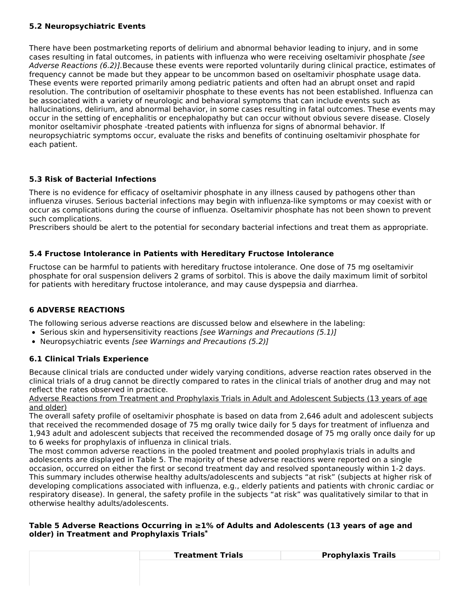## **5.2 Neuropsychiatric Events**

There have been postmarketing reports of delirium and abnormal behavior leading to injury, and in some cases resulting in fatal outcomes, in patients with influenza who were receiving oseltamivir phosphate [see] Adverse Reactions (6.2)].Because these events were reported voluntarily during clinical practice, estimates of frequency cannot be made but they appear to be uncommon based on oseltamivir phosphate usage data. These events were reported primarily among pediatric patients and often had an abrupt onset and rapid resolution. The contribution of oseltamivir phosphate to these events has not been established. Influenza can be associated with a variety of neurologic and behavioral symptoms that can include events such as hallucinations, delirium, and abnormal behavior, in some cases resulting in fatal outcomes. These events may occur in the setting of encephalitis or encephalopathy but can occur without obvious severe disease. Closely monitor oseltamivir phosphate -treated patients with influenza for signs of abnormal behavior. If neuropsychiatric symptoms occur, evaluate the risks and benefits of continuing oseltamivir phosphate for each patient.

## **5.3 Risk of Bacterial Infections**

There is no evidence for efficacy of oseltamivir phosphate in any illness caused by pathogens other than influenza viruses. Serious bacterial infections may begin with influenza-like symptoms or may coexist with or occur as complications during the course of influenza. Oseltamivir phosphate has not been shown to prevent such complications.

Prescribers should be alert to the potential for secondary bacterial infections and treat them as appropriate.

### **5.4 Fructose Intolerance in Patients with Hereditary Fructose Intolerance**

Fructose can be harmful to patients with hereditary fructose intolerance. One dose of 75 mg oseltamivir phosphate for oral suspension delivers 2 grams of sorbitol. This is above the daily maximum limit of sorbitol for patients with hereditary fructose intolerance, and may cause dyspepsia and diarrhea.

## **6 ADVERSE REACTIONS**

The following serious adverse reactions are discussed below and elsewhere in the labeling:

- Serious skin and hypersensitivity reactions [see Warnings and Precautions (5.1)]
- Neuropsychiatric events [see Warnings and Precautions (5.2)]

### **6.1 Clinical Trials Experience**

Because clinical trials are conducted under widely varying conditions, adverse reaction rates observed in the clinical trials of a drug cannot be directly compared to rates in the clinical trials of another drug and may not reflect the rates observed in practice.

Adverse Reactions from Treatment and Prophylaxis Trials in Adult and Adolescent Subjects (13 years of age and older)

The overall safety profile of oseltamivir phosphate is based on data from 2,646 adult and adolescent subjects that received the recommended dosage of 75 mg orally twice daily for 5 days for treatment of influenza and 1,943 adult and adolescent subjects that received the recommended dosage of 75 mg orally once daily for up to 6 weeks for prophylaxis of influenza in clinical trials.

The most common adverse reactions in the pooled treatment and pooled prophylaxis trials in adults and adolescents are displayed in Table 5. The majority of these adverse reactions were reported on a single occasion, occurred on either the first or second treatment day and resolved spontaneously within 1-2 days. This summary includes otherwise healthy adults/adolescents and subjects "at risk" (subjects at higher risk of developing complications associated with influenza, e.g., elderly patients and patients with chronic cardiac or respiratory disease). In general, the safety profile in the subjects "at risk" was qualitatively similar to that in otherwise healthy adults/adolescents.

### **Table 5 Adverse Reactions Occurring in ≥1% of Adults and Adolescents (13 years of age and older) in Treatment and Prophylaxis Trials \***

| <b>Treatment Trials</b> | <b>Prophylaxis Trails</b> |
|-------------------------|---------------------------|
|                         |                           |
|                         |                           |
|                         |                           |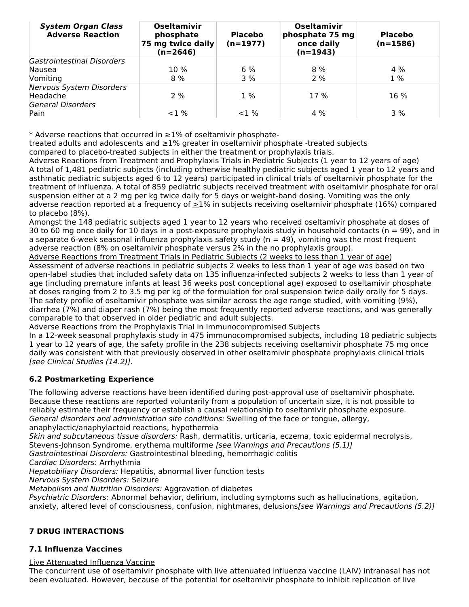| <b>System Organ Class</b><br><b>Adverse Reaction</b> | <b>Oseltamivir</b><br>phosphate<br>75 mg twice daily<br>$(n=2646)$ | <b>Placebo</b><br>$(n=1977)$ | <b>Oseltamivir</b><br>phosphate 75 mg<br>once daily<br>$(n=1943)$ | <b>Placebo</b><br>$(n=1586)$ |
|------------------------------------------------------|--------------------------------------------------------------------|------------------------------|-------------------------------------------------------------------|------------------------------|
| Gastrointestinal Disorders                           |                                                                    |                              |                                                                   |                              |
| Nausea                                               | $10\%$                                                             | 6%                           | $8\%$                                                             | $4\%$                        |
| Vomiting                                             | $8\%$                                                              | 3 %                          | 2%                                                                | $1\%$                        |
| <b>Nervous System Disorders</b>                      |                                                                    |                              |                                                                   |                              |
| Headache                                             | 2%                                                                 | $1\%$                        | 17 %                                                              | 16 %                         |
| <b>General Disorders</b>                             |                                                                    |                              |                                                                   |                              |
| Pain                                                 | $1\%$                                                              | $1\%$                        | $4\%$                                                             | 3%                           |

\* Adverse reactions that occurred in ≥1% of oseltamivir phosphate-

treated adults and adolescents and ≥1% greater in oseltamivir phosphate -treated subjects compared to placebo-treated subjects in either the treatment or prophylaxis trials.

Adverse Reactions from Treatment and Prophylaxis Trials in Pediatric Subjects (1 year to 12 years of age) A total of 1,481 pediatric subjects (including otherwise healthy pediatric subjects aged 1 year to 12 years and asthmatic pediatric subjects aged 6 to 12 years) participated in clinical trials of oseltamivir phosphate for the treatment of influenza. A total of 859 pediatric subjects received treatment with oseltamivir phosphate for oral suspension either at a 2 mg per kg twice daily for 5 days or weight-band dosing. Vomiting was the only adverse reaction reported at a frequency of >1% in subjects receiving oseltamivir phosphate (16%) compared to placebo (8%).

Amongst the 148 pediatric subjects aged 1 year to 12 years who received oseltamivir phosphate at doses of 30 to 60 mg once daily for 10 days in a post-exposure prophylaxis study in household contacts ( $n = 99$ ), and in a separate 6-week seasonal influenza prophylaxis safety study ( $n = 49$ ), vomiting was the most frequent adverse reaction (8% on oseltamivir phosphate versus 2% in the no prophylaxis group).

Adverse Reactions from Treatment Trials in Pediatric Subjects (2 weeks to less than 1 year of age) Assessment of adverse reactions in pediatric subjects 2 weeks to less than 1 year of age was based on two open-label studies that included safety data on 135 influenza-infected subjects 2 weeks to less than 1 year of age (including premature infants at least 36 weeks post conceptional age) exposed to oseltamivir phosphate at doses ranging from 2 to 3.5 mg per kg of the formulation for oral suspension twice daily orally for 5 days. The safety profile of oseltamivir phosphate was similar across the age range studied, with vomiting (9%), diarrhea (7%) and diaper rash (7%) being the most frequently reported adverse reactions, and was generally comparable to that observed in older pediatric and adult subjects.

Adverse Reactions from the Prophylaxis Trial in Immunocompromised Subjects

In a 12-week seasonal prophylaxis study in 475 immunocompromised subjects, including 18 pediatric subjects 1 year to 12 years of age, the safety profile in the 238 subjects receiving oseltamivir phosphate 75 mg once daily was consistent with that previously observed in other oseltamivir phosphate prophylaxis clinical trials [see Clinical Studies (14.2)].

# **6.2 Postmarketing Experience**

The following adverse reactions have been identified during post-approval use of oseltamivir phosphate. Because these reactions are reported voluntarily from a population of uncertain size, it is not possible to reliably estimate their frequency or establish a causal relationship to oseltamivir phosphate exposure. General disorders and administration site conditions: Swelling of the face or tongue, allergy, anaphylactic/anaphylactoid reactions, hypothermia

Skin and subcutaneous tissue disorders: Rash, dermatitis, urticaria, eczema, toxic epidermal necrolysis, Stevens-Johnson Syndrome, erythema multiforme [see Warnings and Precautions (5.1)]

Gastrointestinal Disorders: Gastrointestinal bleeding, hemorrhagic colitis

Cardiac Disorders: Arrhythmia

Hepatobiliary Disorders: Hepatitis, abnormal liver function tests

Nervous System Disorders: Seizure

Metabolism and Nutrition Disorders: Aggravation of diabetes

Psychiatric Disorders: Abnormal behavior, delirium, including symptoms such as hallucinations, agitation, anxiety, altered level of consciousness, confusion, nightmares, delusions[see Warnings and Precautions (5.2)]

## **7 DRUG INTERACTIONS**

## **7.1 Influenza Vaccines**

### Live Attenuated Influenza Vaccine

The concurrent use of oseltamivir phosphate with live attenuated influenza vaccine (LAIV) intranasal has not been evaluated. However, because of the potential for oseltamivir phosphate to inhibit replication of live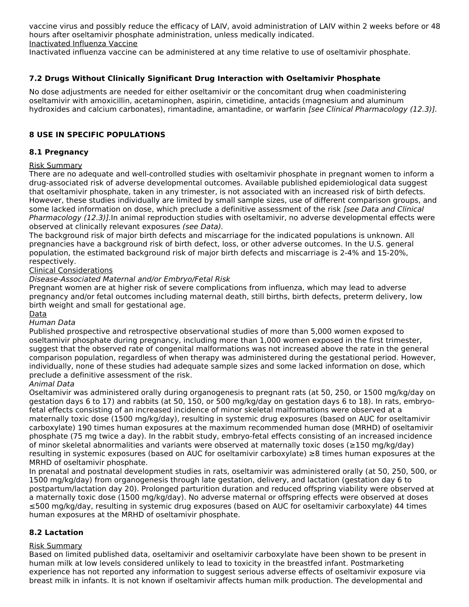vaccine virus and possibly reduce the efficacy of LAIV, avoid administration of LAIV within 2 weeks before or 48 hours after oseltamivir phosphate administration, unless medically indicated. Inactivated Influenza Vaccine

Inactivated influenza vaccine can be administered at any time relative to use of oseltamivir phosphate.

## **7.2 Drugs Without Clinically Significant Drug Interaction with Oseltamivir Phosphate**

No dose adjustments are needed for either oseltamivir or the concomitant drug when coadministering oseltamivir with amoxicillin, acetaminophen, aspirin, cimetidine, antacids (magnesium and aluminum hydroxides and calcium carbonates), rimantadine, amantadine, or warfarin [see Clinical Pharmacology (12.3)].

## **8 USE IN SPECIFIC POPULATIONS**

### **8.1 Pregnancy**

### Risk Summary

There are no adequate and well-controlled studies with oseltamivir phosphate in pregnant women to inform a drug-associated risk of adverse developmental outcomes. Available published epidemiological data suggest that oseltamivir phosphate, taken in any trimester, is not associated with an increased risk of birth defects. However, these studies individually are limited by small sample sizes, use of different comparison groups, and some lacked information on dose, which preclude a definitive assessment of the risk [see Data and Clinical Pharmacology (12.3)]. In animal reproduction studies with oseltamivir, no adverse developmental effects were observed at clinically relevant exposures (see Data).

The background risk of major birth defects and miscarriage for the indicated populations is unknown. All pregnancies have a background risk of birth defect, loss, or other adverse outcomes. In the U.S. general population, the estimated background risk of major birth defects and miscarriage is 2-4% and 15-20%, respectively.

### Clinical Considerations

Disease-Associated Maternal and/or Embryo/Fetal Risk

Pregnant women are at higher risk of severe complications from influenza, which may lead to adverse pregnancy and/or fetal outcomes including maternal death, still births, birth defects, preterm delivery, low birth weight and small for gestational age.

#### Data

#### Human Data

Published prospective and retrospective observational studies of more than 5,000 women exposed to oseltamivir phosphate during pregnancy, including more than 1,000 women exposed in the first trimester, suggest that the observed rate of congenital malformations was not increased above the rate in the general comparison population, regardless of when therapy was administered during the gestational period. However, individually, none of these studies had adequate sample sizes and some lacked information on dose, which preclude a definitive assessment of the risk.

### Animal Data

Oseltamivir was administered orally during organogenesis to pregnant rats (at 50, 250, or 1500 mg/kg/day on gestation days 6 to 17) and rabbits (at 50, 150, or 500 mg/kg/day on gestation days 6 to 18). In rats, embryo‐ fetal effects consisting of an increased incidence of minor skeletal malformations were observed at a maternally toxic dose (1500 mg/kg/day), resulting in systemic drug exposures (based on AUC for oseltamivir carboxylate) 190 times human exposures at the maximum recommended human dose (MRHD) of oseltamivir phosphate (75 mg twice a day). In the rabbit study, embryo-fetal effects consisting of an increased incidence of minor skeletal abnormalities and variants were observed at maternally toxic doses (≥150 mg/kg/day) resulting in systemic exposures (based on AUC for oseltamivir carboxylate) ≥8 times human exposures at the MRHD of oseltamivir phosphate.

In prenatal and postnatal development studies in rats, oseltamivir was administered orally (at 50, 250, 500, or 1500 mg/kg/day) from organogenesis through late gestation, delivery, and lactation (gestation day 6 to postpartum/lactation day 20). Prolonged parturition duration and reduced offspring viability were observed at a maternally toxic dose (1500 mg/kg/day). No adverse maternal or offspring effects were observed at doses ≤500 mg/kg/day, resulting in systemic drug exposures (based on AUC for oseltamivir carboxylate) 44 times human exposures at the MRHD of oseltamivir phosphate.

### **8.2 Lactation**

#### Risk Summary

Based on limited published data, oseltamivir and oseltamivir carboxylate have been shown to be present in human milk at low levels considered unlikely to lead to toxicity in the breastfed infant. Postmarketing experience has not reported any information to suggest serious adverse effects of oseltamivir exposure via breast milk in infants. It is not known if oseltamivir affects human milk production. The developmental and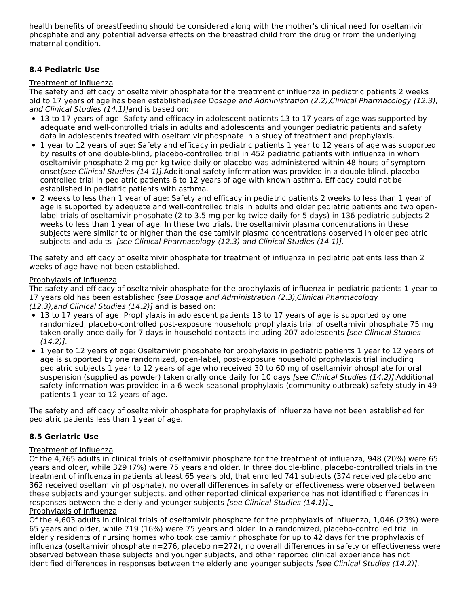health benefits of breastfeeding should be considered along with the mother's clinical need for oseltamivir phosphate and any potential adverse effects on the breastfed child from the drug or from the underlying maternal condition.

## **8.4 Pediatric Use**

### Treatment of Influenza

The safety and efficacy of oseltamivir phosphate for the treatment of influenza in pediatric patients 2 weeks old to 17 years of age has been established[see Dosage and Administration (2.2),Clinical Pharmacology (12.3), and Clinical Studies (14.1)]and is based on:

- 13 to 17 years of age: Safety and efficacy in adolescent patients 13 to 17 years of age was supported by adequate and well-controlled trials in adults and adolescents and younger pediatric patients and safety data in adolescents treated with oseltamivir phosphate in a study of treatment and prophylaxis.
- 1 year to 12 years of age: Safety and efficacy in pediatric patients 1 year to 12 years of age was supported by results of one double-blind, placebo-controlled trial in 452 pediatric patients with influenza in whom oseltamivir phosphate 2 mg per kg twice daily or placebo was administered within 48 hours of symptom onset[see Clinical Studies (14.1)].Additional safety information was provided in a double-blind, placebocontrolled trial in pediatric patients 6 to 12 years of age with known asthma. Efficacy could not be established in pediatric patients with asthma.
- 2 weeks to less than 1 year of age: Safety and efficacy in pediatric patients 2 weeks to less than 1 year of age is supported by adequate and well-controlled trials in adults and older pediatric patients and two openlabel trials of oseltamivir phosphate (2 to 3.5 mg per kg twice daily for 5 days) in 136 pediatric subjects 2 weeks to less than 1 year of age. In these two trials, the oseltamivir plasma concentrations in these subjects were similar to or higher than the oseltamivir plasma concentrations observed in older pediatric subjects and adults [see Clinical Pharmacology (12.3) and Clinical Studies (14.1)].

The safety and efficacy of oseltamivir phosphate for treatment of influenza in pediatric patients less than 2 weeks of age have not been established.

### Prophylaxis of Influenza

The safety and efficacy of oseltamivir phosphate for the prophylaxis of influenza in pediatric patients 1 year to 17 years old has been established [see Dosage and Administration (2.3), Clinical Pharmacology (12.3),and Clinical Studies (14.2)] and is based on:

- 13 to 17 years of age: Prophylaxis in adolescent patients 13 to 17 years of age is supported by one randomized, placebo-controlled post-exposure household prophylaxis trial of oseltamivir phosphate 75 mg taken orally once daily for 7 days in household contacts including 207 adolescents [see Clinical Studies  $(14.2)$ ].
- 1 year to 12 years of age: Oseltamivir phosphate for prophylaxis in pediatric patients 1 year to 12 years of age is supported by one randomized, open-label, post-exposure household prophylaxis trial including pediatric subjects 1 year to 12 years of age who received 30 to 60 mg of oseltamivir phosphate for oral suspension (supplied as powder) taken orally once daily for 10 days [see Clinical Studies (14.2)]. Additional safety information was provided in a 6-week seasonal prophylaxis (community outbreak) safety study in 49 patients 1 year to 12 years of age.

The safety and efficacy of oseltamivir phosphate for prophylaxis of influenza have not been established for pediatric patients less than 1 year of age.

## **8.5 Geriatric Use**

## Treatment of Influenza

Of the 4,765 adults in clinical trials of oseltamivir phosphate for the treatment of influenza, 948 (20%) were 65 years and older, while 329 (7%) were 75 years and older. In three double-blind, placebo-controlled trials in the treatment of influenza in patients at least 65 years old, that enrolled 741 subjects (374 received placebo and 362 received oseltamivir phosphate), no overall differences in safety or effectiveness were observed between these subjects and younger subjects, and other reported clinical experience has not identified differences in responses between the elderly and younger subjects [see Clinical Studies (14.1)]. Prophylaxis of Influenza

Of the 4,603 adults in clinical trials of oseltamivir phosphate for the prophylaxis of influenza, 1,046 (23%) were 65 years and older, while 719 (16%) were 75 years and older. In a randomized, placebo-controlled trial in elderly residents of nursing homes who took oseltamivir phosphate for up to 42 days for the prophylaxis of influenza (oseltamivir phosphate n=276, placebo n=272), no overall differences in safety or effectiveness were observed between these subjects and younger subjects, and other reported clinical experience has not identified differences in responses between the elderly and younger subjects [see Clinical Studies (14.2)].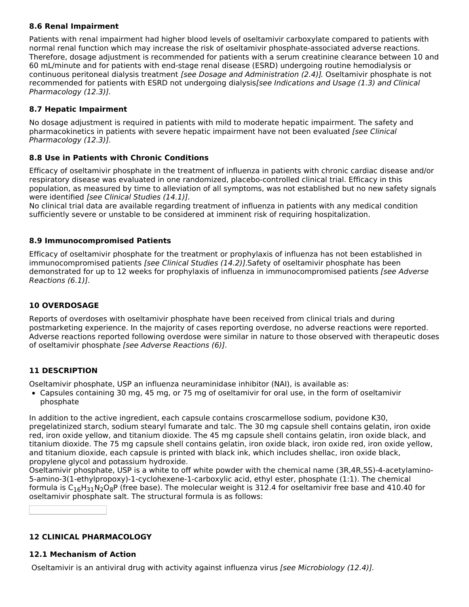## **8.6 Renal Impairment**

Patients with renal impairment had higher blood levels of oseltamivir carboxylate compared to patients with normal renal function which may increase the risk of oseltamivir phosphate-associated adverse reactions. Therefore, dosage adjustment is recommended for patients with a serum creatinine clearance between 10 and 60 mL/minute and for patients with end-stage renal disease (ESRD) undergoing routine hemodialysis or continuous peritoneal dialysis treatment [see Dosage and Administration (2.4)]. Oseltamivir phosphate is not recommended for patients with ESRD not undergoing dialysis[see Indications and Usage (1.3) and Clinical Pharmacology (12.3)].

## **8.7 Hepatic Impairment**

No dosage adjustment is required in patients with mild to moderate hepatic impairment. The safety and pharmacokinetics in patients with severe hepatic impairment have not been evaluated [see Clinical Pharmacology (12.3)].

## **8.8 Use in Patients with Chronic Conditions**

Efficacy of oseltamivir phosphate in the treatment of influenza in patients with chronic cardiac disease and/or respiratory disease was evaluated in one randomized, placebo-controlled clinical trial. Efficacy in this population, as measured by time to alleviation of all symptoms, was not established but no new safety signals were identified [see Clinical Studies (14.1)].

No clinical trial data are available regarding treatment of influenza in patients with any medical condition sufficiently severe or unstable to be considered at imminent risk of requiring hospitalization.

## **8.9 Immunocompromised Patients**

Efficacy of oseltamivir phosphate for the treatment or prophylaxis of influenza has not been established in immunocompromised patients *[see Clinical Studies (14.2)]*. Safety of oseltamivir phosphate has been demonstrated for up to 12 weeks for prophylaxis of influenza in immunocompromised patients [see Adverse Reactions (6.1)].

## **10 OVERDOSAGE**

Reports of overdoses with oseltamivir phosphate have been received from clinical trials and during postmarketing experience. In the majority of cases reporting overdose, no adverse reactions were reported. Adverse reactions reported following overdose were similar in nature to those observed with therapeutic doses of oseltamivir phosphate [see Adverse Reactions (6)].

# **11 DESCRIPTION**

Oseltamivir phosphate, USP an influenza neuraminidase inhibitor (NAI), is available as:

Capsules containing 30 mg, 45 mg, or 75 mg of oseltamivir for oral use, in the form of oseltamivir phosphate

In addition to the active ingredient, each capsule contains croscarmellose sodium, povidone K30, pregelatinized starch, sodium stearyl fumarate and talc. The 30 mg capsule shell contains gelatin, iron oxide red, iron oxide yellow, and titanium dioxide. The 45 mg capsule shell contains gelatin, iron oxide black, and titanium dioxide. The 75 mg capsule shell contains gelatin, iron oxide black, iron oxide red, iron oxide yellow, and titanium dioxide, each capsule is printed with black ink, which includes shellac, iron oxide black, propylene glycol and potassium hydroxide.

Oseltamivir phosphate, USP is a white to off white powder with the chemical name (3R,4R,5S)-4-acetylamino-5-amino-3(1-ethylpropoxy)-1-cyclohexene-1-carboxylic acid, ethyl ester, phosphate (1:1). The chemical formula is  $\mathsf{C}_{16}\mathsf{H}_{31}\mathsf{N}_2\mathsf{O}_8$ P (free base). The molecular weight is 312.4 for oseltamivir free base and 410.40 for oseltamivir phosphate salt. The structural formula is as follows:

## **12 CLINICAL PHARMACOLOGY**

## **12.1 Mechanism of Action**

Oseltamivir is an antiviral drug with activity against influenza virus [see Microbiology (12.4)].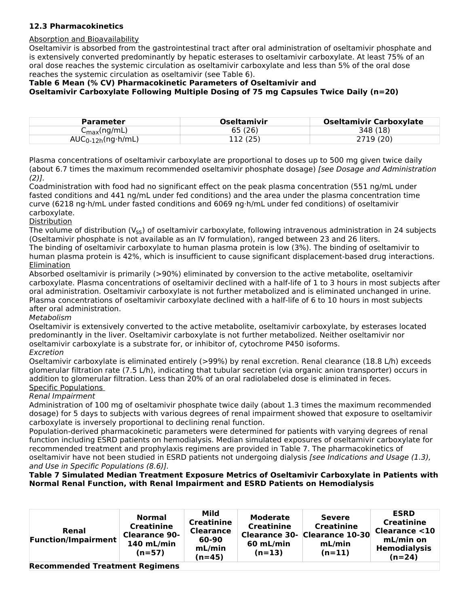## **12.3 Pharmacokinetics**

### Absorption and Bioavailability

Oseltamivir is absorbed from the gastrointestinal tract after oral administration of oseltamivir phosphate and is extensively converted predominantly by hepatic esterases to oseltamivir carboxylate. At least 75% of an oral dose reaches the systemic circulation as oseltamivir carboxylate and less than 5% of the oral dose reaches the systemic circulation as oseltamivir (see Table 6).

# **Table 6 Mean (% CV) Pharmacokinetic Parameters of Oseltamivir and Oseltamivir Carboxylate Following Multiple Dosing of 75 mg Capsules Twice Daily (n=20)**

| <b>Parameter</b>            | <b>Oseltamivir</b> | <b>Oseltamivir Carboxylate</b> |
|-----------------------------|--------------------|--------------------------------|
| C <sub>max</sub> (ng/mL)    | 65 (26)            | 348 (18)                       |
| $AUC_{0-12h}(ng\cdot h/mL)$ | 12(25)             | 2719 (20)                      |

Plasma concentrations of oseltamivir carboxylate are proportional to doses up to 500 mg given twice daily (about 6.7 times the maximum recommended oseltamivir phosphate dosage) [see Dosage and Administration  $(2)$ ].

Coadministration with food had no significant effect on the peak plasma concentration (551 ng/mL under fasted conditions and 441 ng/mL under fed conditions) and the area under the plasma concentration time curve (6218 ng·h/mL under fasted conditions and 6069 ng·h/mL under fed conditions) of oseltamivir carboxylate.

### Distribution

The volume of distribution (V<sub>ss</sub>) of oseltamivir carboxylate, following intravenous administration in 24 subjects (Oseltamivir phosphate is not available as an IV formulation), ranged between 23 and 26 liters. The binding of oseltamivir carboxylate to human plasma protein is low (3%). The binding of oseltamivir to

human plasma protein is 42%, which is insufficient to cause significant displacement-based drug interactions. Elimination

Absorbed oseltamivir is primarily (>90%) eliminated by conversion to the active metabolite, oseltamivir carboxylate. Plasma concentrations of oseltamivir declined with a half-life of 1 to 3 hours in most subjects after oral administration. Oseltamivir carboxylate is not further metabolized and is eliminated unchanged in urine. Plasma concentrations of oseltamivir carboxylate declined with a half-life of 6 to 10 hours in most subjects after oral administration.

### Metabolism

Oseltamivir is extensively converted to the active metabolite, oseltamivir carboxylate, by esterases located predominantly in the liver. Oseltamivir carboxylate is not further metabolized. Neither oseltamivir nor oseltamivir carboxylate is a substrate for, or inhibitor of, cytochrome P450 isoforms.

#### Excretion

Oseltamivir carboxylate is eliminated entirely (>99%) by renal excretion. Renal clearance (18.8 L/h) exceeds glomerular filtration rate (7.5 L/h), indicating that tubular secretion (via organic anion transporter) occurs in addition to glomerular filtration. Less than 20% of an oral radiolabeled dose is eliminated in feces. Specific Populations

### Renal Impairment

Administration of 100 mg of oseltamivir phosphate twice daily (about 1.3 times the maximum recommended dosage) for 5 days to subjects with various degrees of renal impairment showed that exposure to oseltamivir carboxylate is inversely proportional to declining renal function.

Population-derived pharmacokinetic parameters were determined for patients with varying degrees of renal function including ESRD patients on hemodialysis. Median simulated exposures of oseltamivir carboxylate for recommended treatment and prophylaxis regimens are provided in Table 7. The pharmacokinetics of oseltamivir have not been studied in ESRD patients not undergoing dialysis [see Indications and Usage (1.3), and Use in Specific Populations (8.6)].

### **Table 7 Simulated Median Treatment Exposure Metrics of Oseltamivir Carboxylate in Patients with Normal Renal Function, with Renal Impairment and ESRD Patients on Hemodialysis**

| Renal<br><b>Function/Impairment</b>   | <b>Normal</b><br><b>Creatinine</b><br><b>Clearance 90-</b><br>140 mL/min<br>$(n=57)$ | Mild<br><b>Creatinine</b><br><b>Clearance</b><br>60-90<br>mL/min<br>$(n=45)$ | <b>Moderate</b><br><b>Creatinine</b><br>60 mL/min<br>$(n=13)$ | <b>Severe</b><br><b>Creatinine</b><br>Clearance 30- Clearance 10-30<br>mL/min<br>$(n=11)$ | <b>ESRD</b><br><b>Creatinine</b><br><b>Clearance &lt;10</b><br>mL/min on<br><b>Hemodialysis</b><br>$(n=24)$ |  |
|---------------------------------------|--------------------------------------------------------------------------------------|------------------------------------------------------------------------------|---------------------------------------------------------------|-------------------------------------------------------------------------------------------|-------------------------------------------------------------------------------------------------------------|--|
| <b>Recommended Treatment Regimens</b> |                                                                                      |                                                                              |                                                               |                                                                                           |                                                                                                             |  |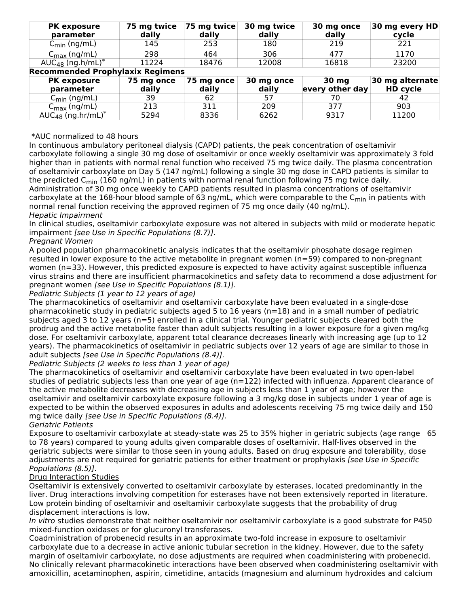| <b>PK exposure</b>                        | 75 mg twice | 75 mg twice | 30 mg twice | 30 mg once      | 30 mg every HD  |
|-------------------------------------------|-------------|-------------|-------------|-----------------|-----------------|
| parameter                                 | daily       | daily       | daily       | daily           | cycle           |
| $C_{\text{min}}$ (ng/mL)                  | 145         | 253         | 180         | 219             | 221             |
| $C_{\text{max}}$ (ng/mL)                  | 298         | 464         | 306         | 477             | 1170            |
| AUC <sub>48</sub> (ng.h/mL) <sup>*</sup>  | 11224       | 18476       | 12008       | 16818           | 23200           |
| <b>Recommended Prophylaxix Regimens</b>   |             |             |             |                 |                 |
| <b>PK exposure</b>                        | 75 mg once  | 75 mg once  | 30 mg once  | 30 mg           | 30 mg alternate |
| parameter                                 | daily       | daily       | daily       | every other day | <b>HD cycle</b> |
| $C_{\text{min}}$ (ng/mL)                  | 39          | 62          | 57          | 70              | 42              |
| $C_{\text{max}}$ (ng/mL)                  | 213         | 311         | 209         | 377             | 903             |
| AUC <sub>48</sub> (ng.hr/mL) <sup>*</sup> | 5294        | 8336        | 6262        | 9317            | 11200           |

#### \*AUC normalized to 48 hours

In continuous ambulatory peritoneal dialysis (CAPD) patients, the peak concentration of oseltamivir carboxylate following a single 30 mg dose of oseltamivir or once weekly oseltamivir was approximately 3 fold higher than in patients with normal renal function who received 75 mg twice daily. The plasma concentration of oseltamivir carboxylate on Day 5 (147 ng/mL) following a single 30 mg dose in CAPD patients is similar to the predicted C<sub>min</sub> (160 ng/mL) in patients with normal renal function following 75 mg twice daily. Administration of 30 mg once weekly to CAPD patients resulted in plasma concentrations of oseltamivir carboxylate at the 168-hour blood sample of 63 ng/mL, which were comparable to the C<sub>min</sub> in patients with normal renal function receiving the approved regimen of 75 mg once daily (40 ng/mL). Hepatic Impairment

In clinical studies, oseltamivir carboxylate exposure was not altered in subjects with mild or moderate hepatic impairment [see Use in Specific Populations (8.7)].

### Pregnant Women

A pooled population pharmacokinetic analysis indicates that the oseltamivir phosphate dosage regimen resulted in lower exposure to the active metabolite in pregnant women (n=59) compared to non-pregnant women (n=33). However, this predicted exposure is expected to have activity against susceptible influenza virus strains and there are insufficient pharmacokinetics and safety data to recommend a dose adjustment for pregnant women [see Use in Specific Populations (8.1)].

#### Pediatric Subjects (1 year to 12 years of age)

The pharmacokinetics of oseltamivir and oseltamivir carboxylate have been evaluated in a single-dose pharmacokinetic study in pediatric subjects aged 5 to 16 years (n=18) and in a small number of pediatric subjects aged 3 to 12 years (n=5) enrolled in a clinical trial. Younger pediatric subjects cleared both the prodrug and the active metabolite faster than adult subjects resulting in a lower exposure for a given mg/kg dose. For oseltamivir carboxylate, apparent total clearance decreases linearly with increasing age (up to 12 years). The pharmacokinetics of oseltamivir in pediatric subjects over 12 years of age are similar to those in adult subjects [see Use in Specific Populations (8.4)].

### Pediatric Subjects (2 weeks to less than 1 year of age)

The pharmacokinetics of oseltamivir and oseltamivir carboxylate have been evaluated in two open-label studies of pediatric subjects less than one year of age (n=122) infected with influenza. Apparent clearance of the active metabolite decreases with decreasing age in subjects less than 1 year of age; however the oseltamivir and oseltamivir carboxylate exposure following a 3 mg/kg dose in subjects under 1 year of age is expected to be within the observed exposures in adults and adolescents receiving 75 mg twice daily and 150 mg twice daily [see Use in Specific Populations (8.4)].

#### Geriatric Patients

Exposure to oseltamivir carboxylate at steady-state was 25 to 35% higher in geriatric subjects (age range 65 to 78 years) compared to young adults given comparable doses of oseltamivir. Half-lives observed in the geriatric subjects were similar to those seen in young adults. Based on drug exposure and tolerability, dose adjustments are not required for geriatric patients for either treatment or prophylaxis [see Use in Specific Populations (8.5)].

### Drug Interaction Studies

Oseltamivir is extensively converted to oseltamivir carboxylate by esterases, located predominantly in the liver. Drug interactions involving competition for esterases have not been extensively reported in literature. Low protein binding of oseltamivir and oseltamivir carboxylate suggests that the probability of drug displacement interactions is low.

In vitro studies demonstrate that neither oseltamivir nor oseltamivir carboxylate is a good substrate for P450 mixed-function oxidases or for glucuronyl transferases.

Coadministration of probenecid results in an approximate two-fold increase in exposure to oseltamivir carboxylate due to a decrease in active anionic tubular secretion in the kidney. However, due to the safety margin of oseltamivir carboxylate, no dose adjustments are required when coadministering with probenecid. No clinically relevant pharmacokinetic interactions have been observed when coadministering oseltamivir with amoxicillin, acetaminophen, aspirin, cimetidine, antacids (magnesium and aluminum hydroxides and calcium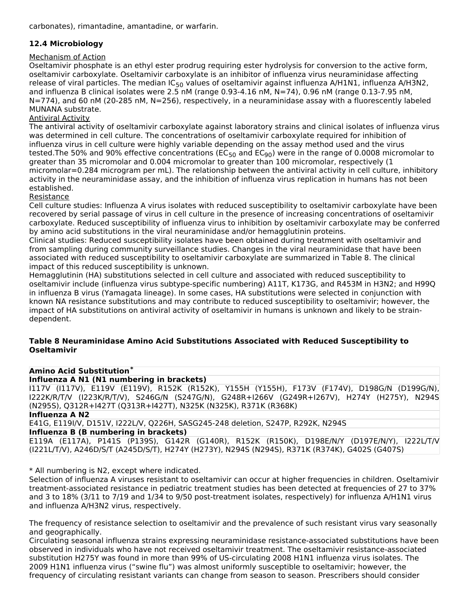carbonates), rimantadine, amantadine, or warfarin.

# **12.4 Microbiology**

### Mechanism of Action

Oseltamivir phosphate is an ethyl ester prodrug requiring ester hydrolysis for conversion to the active form, oseltamivir carboxylate. Oseltamivir carboxylate is an inhibitor of influenza virus neuraminidase affecting release of viral particles. The median IC<sub>50</sub> values of oseltamivir against influenza A/H1N1, influenza A/H3N2, and influenza B clinical isolates were 2.5 nM (range 0.93-4.16 nM, N=74), 0.96 nM (range 0.13-7.95 nM, N=774), and 60 nM (20-285 nM, N=256), respectively, in a neuraminidase assay with a fluorescently labeled MUNANA substrate.

## Antiviral Activity

The antiviral activity of oseltamivir carboxylate against laboratory strains and clinical isolates of influenza virus was determined in cell culture. The concentrations of oseltamivir carboxylate required for inhibition of influenza virus in cell culture were highly variable depending on the assay method used and the virus tested.The 50% and 90% effective concentrations (EC<sub>50</sub> and EC<sub>90</sub>) were in the range of 0.0008 micromolar to greater than 35 micromolar and 0.004 micromolar to greater than 100 micromolar, respectively (1 micromolar=0.284 microgram per mL). The relationship between the antiviral activity in cell culture, inhibitory activity in the neuraminidase assay, and the inhibition of influenza virus replication in humans has not been established.

### Resistance

Cell culture studies: Influenza A virus isolates with reduced susceptibility to oseltamivir carboxylate have been recovered by serial passage of virus in cell culture in the presence of increasing concentrations of oseltamivir carboxylate. Reduced susceptibility of influenza virus to inhibition by oseltamivir carboxylate may be conferred by amino acid substitutions in the viral neuraminidase and/or hemagglutinin proteins.

Clinical studies: Reduced susceptibility isolates have been obtained during treatment with oseltamivir and from sampling during community surveillance studies. Changes in the viral neuraminidase that have been associated with reduced susceptibility to oseltamivir carboxylate are summarized in Table 8. The clinical impact of this reduced susceptibility is unknown.

Hemagglutinin (HA) substitutions selected in cell culture and associated with reduced susceptibility to oseltamivir include (influenza virus subtype-specific numbering) A11T, K173G, and R453M in H3N2; and H99Q in influenza B virus (Yamagata lineage). In some cases, HA substitutions were selected in conjunction with known NA resistance substitutions and may contribute to reduced susceptibility to oseltamivir; however, the impact of HA substitutions on antiviral activity of oseltamivir in humans is unknown and likely to be straindependent.

### **Table 8 Neuraminidase Amino Acid Substitutions Associated with Reduced Susceptibility to Oseltamivir**

### **Amino Acid Substitution \***

**Influenza A N1 (N1 numbering in brackets)**

I117V (I117V), E119V (E119V), R152K (R152K), Y155H (Y155H), F173V (F174V), D198G/N (D199G/N), I222K/R/T/V (I223K/R/T/V), S246G/N (S247G/N), G248R+I266V (G249R+I267V), H274Y (H275Y), N294S (N295S), Q312R+I427T (Q313R+I427T), N325K (N325K), R371K (R368K)

**Influenza A N2**

E41G, E119I/V, D151V, I222L/V, Q226H, SASG245-248 deletion, S247P, R292K, N294S

**Influenza B (B numbering in brackets)**

E119A (E117A), P141S (P139S), G142R (G140R), R152K (R150K), D198E/N/Y (D197E/N/Y), I222L/T/V (I221L/T/V), A246D/S/T (A245D/S/T), H274Y (H273Y), N294S (N294S), R371K (R374K), G402S (G407S)

\* All numbering is N2, except where indicated.

Selection of influenza A viruses resistant to oseltamivir can occur at higher frequencies in children. Oseltamivir treatment-associated resistance in pediatric treatment studies has been detected at frequencies of 27 to 37% and 3 to 18% (3/11 to 7/19 and 1/34 to 9/50 post-treatment isolates, respectively) for influenza A/H1N1 virus and influenza A/H3N2 virus, respectively.

The frequency of resistance selection to oseltamivir and the prevalence of such resistant virus vary seasonally and geographically.

Circulating seasonal influenza strains expressing neuraminidase resistance-associated substitutions have been observed in individuals who have not received oseltamivir treatment. The oseltamivir resistance-associated substitution H275Y was found in more than 99% of US-circulating 2008 H1N1 influenza virus isolates. The 2009 H1N1 influenza virus ("swine flu") was almost uniformly susceptible to oseltamivir; however, the frequency of circulating resistant variants can change from season to season. Prescribers should consider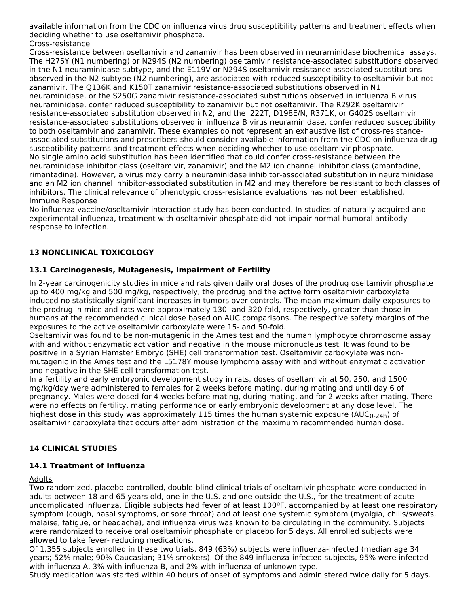available information from the CDC on influenza virus drug susceptibility patterns and treatment effects when deciding whether to use oseltamivir phosphate.

## Cross-resistance

Cross-resistance between oseltamivir and zanamivir has been observed in neuraminidase biochemical assays. The H275Y (N1 numbering) or N294S (N2 numbering) oseltamivir resistance-associated substitutions observed in the N1 neuraminidase subtype, and the E119V or N294S oseltamivir resistance-associated substitutions observed in the N2 subtype (N2 numbering), are associated with reduced susceptibility to oseltamivir but not zanamivir. The Q136K and K150T zanamivir resistance-associated substitutions observed in N1 neuraminidase, or the S250G zanamivir resistance-associated substitutions observed in influenza B virus neuraminidase, confer reduced susceptibility to zanamivir but not oseltamivir. The R292K oseltamivir resistance-associated substitution observed in N2, and the I222T, D198E/N, R371K, or G402S oseltamivir resistance-associated substitutions observed in influenza B virus neuraminidase, confer reduced susceptibility to both oseltamivir and zanamivir. These examples do not represent an exhaustive list of cross-resistanceassociated substitutions and prescribers should consider available information from the CDC on influenza drug susceptibility patterns and treatment effects when deciding whether to use oseltamivir phosphate. No single amino acid substitution has been identified that could confer cross-resistance between the neuraminidase inhibitor class (oseltamivir, zanamivir) and the M2 ion channel inhibitor class (amantadine, rimantadine). However, a virus may carry a neuraminidase inhibitor-associated substitution in neuraminidase and an M2 ion channel inhibitor-associated substitution in M2 and may therefore be resistant to both classes of inhibitors. The clinical relevance of phenotypic cross-resistance evaluations has not been established. Immune Response

No influenza vaccine/oseltamivir interaction study has been conducted. In studies of naturally acquired and experimental influenza, treatment with oseltamivir phosphate did not impair normal humoral antibody response to infection.

# **13 NONCLINICAL TOXICOLOGY**

## **13.1 Carcinogenesis, Mutagenesis, Impairment of Fertility**

In 2-year carcinogenicity studies in mice and rats given daily oral doses of the prodrug oseltamivir phosphate up to 400 mg/kg and 500 mg/kg, respectively, the prodrug and the active form oseltamivir carboxylate induced no statistically significant increases in tumors over controls. The mean maximum daily exposures to the prodrug in mice and rats were approximately 130- and 320-fold, respectively, greater than those in humans at the recommended clinical dose based on AUC comparisons. The respective safety margins of the exposures to the active oseltamivir carboxylate were 15- and 50-fold.

Oseltamivir was found to be non-mutagenic in the Ames test and the human lymphocyte chromosome assay with and without enzymatic activation and negative in the mouse micronucleus test. It was found to be positive in a Syrian Hamster Embryo (SHE) cell transformation test. Oseltamivir carboxylate was non mutagenic in the Ames test and the L5178Y mouse lymphoma assay with and without enzymatic activation and negative in the SHE cell transformation test.

In a fertility and early embryonic development study in rats, doses of oseltamivir at 50, 250, and 1500 mg/kg/day were administered to females for 2 weeks before mating, during mating and until day 6 of pregnancy. Males were dosed for 4 weeks before mating, during mating, and for 2 weeks after mating. There were no effects on fertility, mating performance or early embryonic development at any dose level. The highest dose in this study was approximately 115 times the human systemic exposure (AUC<sub>0-24h</sub>) of oseltamivir carboxylate that occurs after administration of the maximum recommended human dose.

## **14 CLINICAL STUDIES**

### **14.1 Treatment of Influenza**

#### Adults

Two randomized, placebo-controlled, double-blind clinical trials of oseltamivir phosphate were conducted in adults between 18 and 65 years old, one in the U.S. and one outside the U.S., for the treatment of acute uncomplicated influenza. Eligible subjects had fever of at least 100ºF, accompanied by at least one respiratory symptom (cough, nasal symptoms, or sore throat) and at least one systemic symptom (myalgia, chills/sweats, malaise, fatigue, or headache), and influenza virus was known to be circulating in the community. Subjects were randomized to receive oral oseltamivir phosphate or placebo for 5 days. All enrolled subjects were allowed to take fever- reducing medications.

Of 1,355 subjects enrolled in these two trials, 849 (63%) subjects were influenza-infected (median age 34 years; 52% male; 90% Caucasian; 31% smokers). Of the 849 influenza-infected subjects, 95% were infected with influenza A, 3% with influenza B, and 2% with influenza of unknown type.

Study medication was started within 40 hours of onset of symptoms and administered twice daily for 5 days.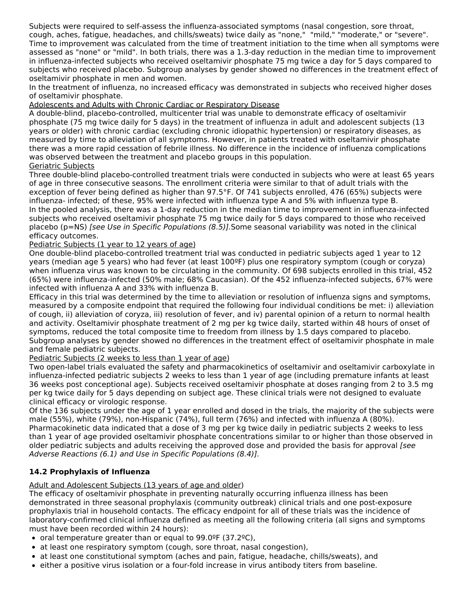Subjects were required to self-assess the influenza-associated symptoms (nasal congestion, sore throat, cough, aches, fatigue, headaches, and chills/sweats) twice daily as "none," "mild," "moderate," or "severe". Time to improvement was calculated from the time of treatment initiation to the time when all symptoms were assessed as "none" or "mild". In both trials, there was a 1.3-day reduction in the median time to improvement in influenza-infected subjects who received oseltamivir phosphate 75 mg twice a day for 5 days compared to subjects who received placebo. Subgroup analyses by gender showed no differences in the treatment effect of oseltamivir phosphate in men and women.

In the treatment of influenza, no increased efficacy was demonstrated in subjects who received higher doses of oseltamivir phosphate.

### Adolescents and Adults with Chronic Cardiac or Respiratory Disease

A double-blind, placebo-controlled, multicenter trial was unable to demonstrate efficacy of oseltamivir phosphate (75 mg twice daily for 5 days) in the treatment of influenza in adult and adolescent subjects (13 years or older) with chronic cardiac (excluding chronic idiopathic hypertension) or respiratory diseases, as measured by time to alleviation of all symptoms. However, in patients treated with oseltamivir phosphate there was a more rapid cessation of febrile illness. No difference in the incidence of influenza complications was observed between the treatment and placebo groups in this population.

## Geriatric Subjects

Three double-blind placebo-controlled treatment trials were conducted in subjects who were at least 65 years of age in three consecutive seasons. The enrollment criteria were similar to that of adult trials with the exception of fever being defined as higher than 97.5°F. Of 741 subjects enrolled, 476 (65%) subjects were influenza- infected; of these, 95% were infected with influenza type A and 5% with influenza type B. In the pooled analysis, there was a 1-day reduction in the median time to improvement in influenza-infected subjects who received oseltamivir phosphate 75 mg twice daily for 5 days compared to those who received placebo (p=NS) [see Use in Specific Populations (8.5)].Some seasonal variability was noted in the clinical efficacy outcomes.

## Pediatric Subjects (1 year to 12 years of age)

One double-blind placebo-controlled treatment trial was conducted in pediatric subjects aged 1 year to 12 years (median age 5 years) who had fever (at least 100ºF) plus one respiratory symptom (cough or coryza) when influenza virus was known to be circulating in the community. Of 698 subjects enrolled in this trial, 452 (65%) were influenza-infected (50% male; 68% Caucasian). Of the 452 influenza-infected subjects, 67% were infected with influenza A and 33% with influenza B.

Efficacy in this trial was determined by the time to alleviation or resolution of influenza signs and symptoms, measured by a composite endpoint that required the following four individual conditions be met: i) alleviation of cough, ii) alleviation of coryza, iii) resolution of fever, and iv) parental opinion of a return to normal health and activity. Oseltamivir phosphate treatment of 2 mg per kg twice daily, started within 48 hours of onset of symptoms, reduced the total composite time to freedom from illness by 1.5 days compared to placebo. Subgroup analyses by gender showed no differences in the treatment effect of oseltamivir phosphate in male and female pediatric subjects.

### Pediatric Subjects (2 weeks to less than 1 year of age)

Two open-label trials evaluated the safety and pharmacokinetics of oseltamivir and oseltamivir carboxylate in influenza-infected pediatric subjects 2 weeks to less than 1 year of age (including premature infants at least 36 weeks post conceptional age). Subjects received oseltamivir phosphate at doses ranging from 2 to 3.5 mg per kg twice daily for 5 days depending on subject age. These clinical trials were not designed to evaluate clinical efficacy or virologic response.

Of the 136 subjects under the age of 1 year enrolled and dosed in the trials, the majority of the subjects were male (55%), white (79%), non-Hispanic (74%), full term (76%) and infected with influenza A (80%). Pharmacokinetic data indicated that a dose of 3 mg per kg twice daily in pediatric subjects 2 weeks to less than 1 year of age provided oseltamivir phosphate concentrations similar to or higher than those observed in older pediatric subjects and adults receiving the approved dose and provided the basis for approval [see Adverse Reactions (6.1) and Use in Specific Populations (8.4)].

## **14.2 Prophylaxis of Influenza**

## Adult and Adolescent Subjects (13 years of age and older)

The efficacy of oseltamivir phosphate in preventing naturally occurring influenza illness has been demonstrated in three seasonal prophylaxis (community outbreak) clinical trials and one post-exposure prophylaxis trial in household contacts. The efficacy endpoint for all of these trials was the incidence of laboratory-confirmed clinical influenza defined as meeting all the following criteria (all signs and symptoms must have been recorded within 24 hours):

- oral temperature greater than or equal to 99.0ºF (37.2ºC),
- at least one respiratory symptom (cough, sore throat, nasal congestion),
- at least one constitutional symptom (aches and pain, fatigue, headache, chills/sweats), and
- either a positive virus isolation or a four-fold increase in virus antibody titers from baseline.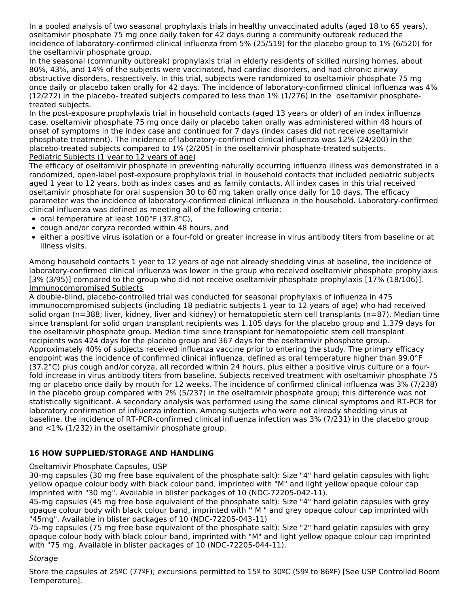In a pooled analysis of two seasonal prophylaxis trials in healthy unvaccinated adults (aged 18 to 65 years), oseltamivir phosphate 75 mg once daily taken for 42 days during a community outbreak reduced the incidence of laboratory-confirmed clinical influenza from 5% (25/519) for the placebo group to 1% (6/520) for the oseltamivir phosphate group.

In the seasonal (community outbreak) prophylaxis trial in elderly residents of skilled nursing homes, about 80%, 43%, and 14% of the subjects were vaccinated, had cardiac disorders, and had chronic airway obstructive disorders, respectively. In this trial, subjects were randomized to oseltamivir phosphate 75 mg once daily or placebo taken orally for 42 days. The incidence of laboratory-confirmed clinical influenza was 4% (12/272) in the placebo- treated subjects compared to less than 1% (1/276) in the oseltamivir phosphatetreated subjects.

In the post-exposure prophylaxis trial in household contacts (aged 13 years or older) of an index influenza case, oseltamivir phosphate 75 mg once daily or placebo taken orally was administered within 48 hours of onset of symptoms in the index case and continued for 7 days (index cases did not receive oseltamivir phosphate treatment). The incidence of laboratory-confirmed clinical influenza was 12% (24/200) in the placebo-treated subjects compared to 1% (2/205) in the oseltamivir phosphate-treated subjects. Pediatric Subjects (1 year to 12 years of age)

The efficacy of oseltamivir phosphate in preventing naturally occurring influenza illness was demonstrated in a randomized, open-label post-exposure prophylaxis trial in household contacts that included pediatric subjects aged 1 year to 12 years, both as index cases and as family contacts. All index cases in this trial received oseltamivir phosphate for oral suspension 30 to 60 mg taken orally once daily for 10 days. The efficacy parameter was the incidence of laboratory-confirmed clinical influenza in the household. Laboratory-confirmed clinical influenza was defined as meeting all of the following criteria:

- oral temperature at least 100°F (37.8°C),
- cough and/or coryza recorded within 48 hours, and
- either a positive virus isolation or a four-fold or greater increase in virus antibody titers from baseline or at illness visits.

Among household contacts 1 year to 12 years of age not already shedding virus at baseline, the incidence of laboratory-confirmed clinical influenza was lower in the group who received oseltamivir phosphate prophylaxis [3% (3/95)] compared to the group who did not receive oseltamivir phosphate prophylaxis [17% (18/106)]. Immunocompromised Subjects

A double-blind, placebo-controlled trial was conducted for seasonal prophylaxis of influenza in 475 immunocompromised subjects (including 18 pediatric subjects 1 year to 12 years of age) who had received solid organ (n=388; liver, kidney, liver and kidney) or hematopoietic stem cell transplants (n=87). Median time since transplant for solid organ transplant recipients was 1,105 days for the placebo group and 1,379 days for the oseltamivir phosphate group. Median time since transplant for hematopoietic stem cell transplant recipients was 424 days for the placebo group and 367 days for the oseltamivir phosphate group. Approximately 40% of subjects received influenza vaccine prior to entering the study. The primary efficacy endpoint was the incidence of confirmed clinical influenza, defined as oral temperature higher than 99.0°F (37.2°C) plus cough and/or coryza, all recorded within 24 hours, plus either a positive virus culture or a fourfold increase in virus antibody titers from baseline. Subjects received treatment with oseltamivir phosphate 75 mg or placebo once daily by mouth for 12 weeks. The incidence of confirmed clinical influenza was 3% (7/238) in the placebo group compared with 2% (5/237) in the oseltamivir phosphate group; this difference was not statistically significant. A secondary analysis was performed using the same clinical symptoms and RT-PCR for laboratory confirmation of influenza infection. Among subjects who were not already shedding virus at baseline, the incidence of RT-PCR-confirmed clinical influenza infection was 3% (7/231) in the placebo group and <1% (1/232) in the oseltamivir phosphate group.

## **16 HOW SUPPLIED/STORAGE AND HANDLING**

### Oseltamivir Phosphate Capsules, USP

30-mg capsules (30 mg free base equivalent of the phosphate salt): Size "4" hard gelatin capsules with light yellow opaque colour body with black colour band, imprinted with "M" and light yellow opaque colour cap imprinted with "30 mg". Available in blister packages of 10 (NDC-72205-042-11).

45-mg capsules (45 mg free base equivalent of the phosphate salt): Size "4" hard gelatin capsules with grey opaque colour body with black colour band, imprinted with '' M " and grey opaque colour cap imprinted with "45mg". Available in blister packages of 10 (NDC-72205-043-11)

75-mg capsules (75 mg free base equivalent of the phosphate salt): Size "2" hard gelatin capsules with grey opaque colour body with black colour band, imprinted with "M" and light yellow opaque colour cap imprinted with "75 mg. Available in blister packages of 10 (NDC-72205-044-11).

### **Storage**

Store the capsules at 25ºC (77ºF); excursions permitted to 15º to 30ºC (59º to 86ºF) [See USP Controlled Room Temperature].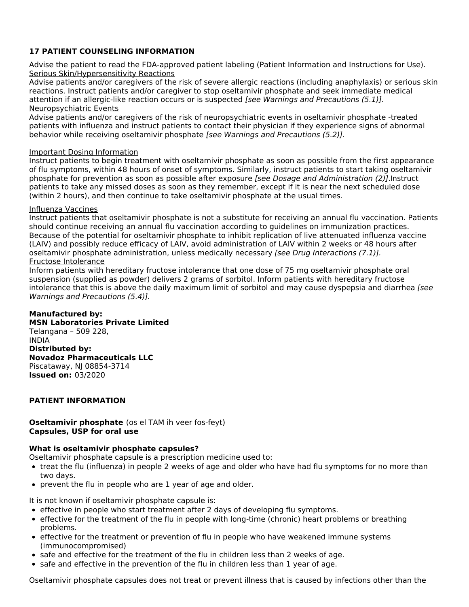## **17 PATIENT COUNSELING INFORMATION**

Advise the patient to read the FDA-approved patient labeling (Patient Information and Instructions for Use). Serious Skin/Hypersensitivity Reactions

Advise patients and/or caregivers of the risk of severe allergic reactions (including anaphylaxis) or serious skin reactions. Instruct patients and/or caregiver to stop oseltamivir phosphate and seek immediate medical attention if an allergic-like reaction occurs or is suspected [see Warnings and Precautions (5.1)]. Neuropsychiatric Events

Advise patients and/or caregivers of the risk of neuropsychiatric events in oseltamivir phosphate -treated patients with influenza and instruct patients to contact their physician if they experience signs of abnormal behavior while receiving oseltamivir phosphate [see Warnings and Precautions (5.2)].

### Important Dosing Information

Instruct patients to begin treatment with oseltamivir phosphate as soon as possible from the first appearance of flu symptoms, within 48 hours of onset of symptoms. Similarly, instruct patients to start taking oseltamivir phosphate for prevention as soon as possible after exposure [see Dosage and Administration (2)].Instruct patients to take any missed doses as soon as they remember, except if it is near the next scheduled dose (within 2 hours), and then continue to take oseltamivir phosphate at the usual times.

### Influenza Vaccines

Instruct patients that oseltamivir phosphate is not a substitute for receiving an annual flu vaccination. Patients should continue receiving an annual flu vaccination according to guidelines on immunization practices. Because of the potential for oseltamivir phosphate to inhibit replication of live attenuated influenza vaccine (LAIV) and possibly reduce efficacy of LAIV, avoid administration of LAIV within 2 weeks or 48 hours after oseltamivir phosphate administration, unless medically necessary [see Drug Interactions (7.1)]. Fructose Intolerance

Inform patients with hereditary fructose intolerance that one dose of 75 mg oseltamivir phosphate oral suspension (supplied as powder) delivers 2 grams of sorbitol. Inform patients with hereditary fructose intolerance that this is above the daily maximum limit of sorbitol and may cause dyspepsia and diarrhea [see Warnings and Precautions (5.4)].

### **Manufactured by:**

**MSN Laboratories Private Limited** Telangana – 509 228, INDIA **Distributed by: Novadoz Pharmaceuticals LLC** Piscataway, NJ 08854-3714 **Issued on:** 03/2020

### **PATIENT INFORMATION**

### **Oseltamivir phosphate** (os el TAM ih veer fos-feyt) **Capsules, USP for oral use**

### **What is oseltamivir phosphate capsules?**

Oseltamivir phosphate capsule is a prescription medicine used to:

- treat the flu (influenza) in people 2 weeks of age and older who have had flu symptoms for no more than two days.
- prevent the flu in people who are 1 year of age and older.

It is not known if oseltamivir phosphate capsule is:

- effective in people who start treatment after 2 days of developing flu symptoms.
- effective for the treatment of the flu in people with long-time (chronic) heart problems or breathing problems.
- effective for the treatment or prevention of flu in people who have weakened immune systems (immunocompromised)
- safe and effective for the treatment of the flu in children less than 2 weeks of age.
- safe and effective in the prevention of the flu in children less than 1 year of age.

Oseltamivir phosphate capsules does not treat or prevent illness that is caused by infections other than the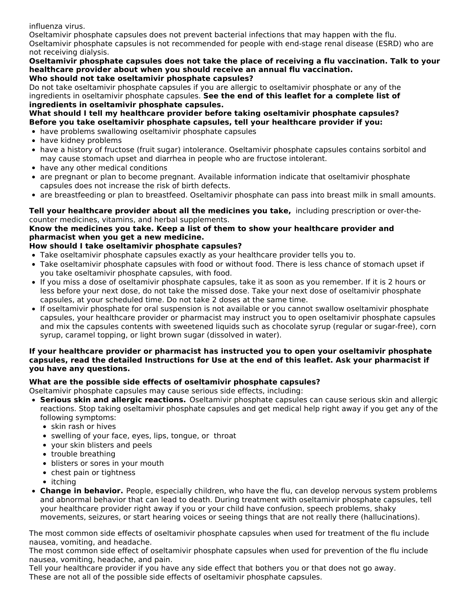influenza virus.

Oseltamivir phosphate capsules does not prevent bacterial infections that may happen with the flu. Oseltamivir phosphate capsules is not recommended for people with end-stage renal disease (ESRD) who are not receiving dialysis.

**Oseltamivir phosphate capsules does not take the place of receiving a flu vaccination. Talk to your healthcare provider about when you should receive an annual flu vaccination. Who should not take oseltamivir phosphate capsules?**

Do not take oseltamivir phosphate capsules if you are allergic to oseltamivir phosphate or any of the ingredients in oseltamivir phosphate capsules. **See the end of this leaflet for a complete list of ingredients in oseltamivir phosphate capsules.**

**What should I tell my healthcare provider before taking oseltamivir phosphate capsules? Before you take oseltamivir phosphate capsules, tell your healthcare provider if you:**

- have problems swallowing oseltamivir phosphate capsules
- have kidney problems
- have a history of fructose (fruit sugar) intolerance. Oseltamivir phosphate capsules contains sorbitol and may cause stomach upset and diarrhea in people who are fructose intolerant.
- have any other medical conditions
- are pregnant or plan to become pregnant. Available information indicate that oseltamivir phosphate capsules does not increase the risk of birth defects.
- are breastfeeding or plan to breastfeed. Oseltamivir phosphate can pass into breast milk in small amounts.

**Tell your healthcare provider about all the medicines you take,** including prescription or over-thecounter medicines, vitamins, and herbal supplements.

## **Know the medicines you take. Keep a list of them to show your healthcare provider and pharmacist when you get a new medicine.**

## **How should I take oseltamivir phosphate capsules?**

- Take oseltamivir phosphate capsules exactly as your healthcare provider tells you to.
- Take oseltamivir phosphate capsules with food or without food. There is less chance of stomach upset if you take oseltamivir phosphate capsules, with food.
- If you miss a dose of oseltamivir phosphate capsules, take it as soon as you remember. If it is 2 hours or less before your next dose, do not take the missed dose. Take your next dose of oseltamivir phosphate capsules, at your scheduled time. Do not take 2 doses at the same time.
- If oseltamivir phosphate for oral suspension is not available or you cannot swallow oseltamivir phosphate capsules, your healthcare provider or pharmacist may instruct you to open oseltamivir phosphate capsules and mix the capsules contents with sweetened liquids such as chocolate syrup (regular or sugar-free), corn syrup, caramel topping, or light brown sugar (dissolved in water).

### **If your healthcare provider or pharmacist has instructed you to open your oseltamivir phosphate capsules, read the detailed Instructions for Use at the end of this leaflet. Ask your pharmacist if you have any questions.**

## **What are the possible side effects of oseltamivir phosphate capsules?**

Oseltamivir phosphate capsules may cause serious side effects, including:

- **Serious skin and allergic reactions.** Oseltamivir phosphate capsules can cause serious skin and allergic reactions. Stop taking oseltamivir phosphate capsules and get medical help right away if you get any of the following symptoms:
	- skin rash or hives
	- swelling of your face, eyes, lips, tongue, or throat
	- your skin blisters and peels
	- trouble breathing
	- blisters or sores in your mouth
	- chest pain or tightness
	- itching
- **Change in behavior.** People, especially children, who have the flu, can develop nervous system problems and abnormal behavior that can lead to death. During treatment with oseltamivir phosphate capsules, tell your healthcare provider right away if you or your child have confusion, speech problems, shaky movements, seizures, or start hearing voices or seeing things that are not really there (hallucinations).

The most common side effects of oseltamivir phosphate capsules when used for treatment of the flu include nausea, vomiting, and headache.

The most common side effect of oseltamivir phosphate capsules when used for prevention of the flu include nausea, vomiting, headache, and pain.

Tell your healthcare provider if you have any side effect that bothers you or that does not go away. These are not all of the possible side effects of oseltamivir phosphate capsules.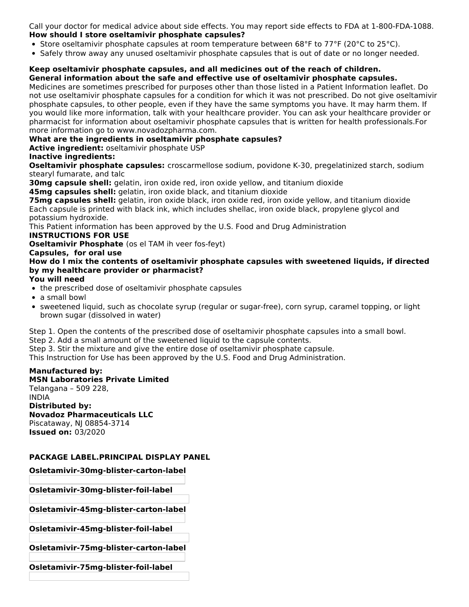Call your doctor for medical advice about side effects. You may report side effects to FDA at 1-800-FDA-1088. **How should I store oseltamivir phosphate capsules?**

- Store oseltamivir phosphate capsules at room temperature between 68°F to 77°F (20°C to 25°C).
- Safely throw away any unused oseltamivir phosphate capsules that is out of date or no longer needed.

#### **Keep oseltamivir phosphate capsules, and all medicines out of the reach of children. General information about the safe and effective use of oseltamivir phosphate capsules.**

Medicines are sometimes prescribed for purposes other than those listed in a Patient Information leaflet. Do not use oseltamivir phosphate capsules for a condition for which it was not prescribed. Do not give oseltamivir phosphate capsules, to other people, even if they have the same symptoms you have. It may harm them. If you would like more information, talk with your healthcare provider. You can ask your healthcare provider or pharmacist for information about oseltamivir phosphate capsules that is written for health professionals.For more information go to www.novadozpharma.com.

## **What are the ingredients in oseltamivir phosphate capsules?**

**Active ingredient:** oseltamivir phosphate USP

## **Inactive ingredients:**

**Oseltamivir phosphate capsules:** croscarmellose sodium, povidone K-30, pregelatinized starch, sodium stearyl fumarate, and talc

**30mg capsule shell:** gelatin, iron oxide red, iron oxide yellow, and titanium dioxide

**45mg capsules shell:** gelatin, iron oxide black, and titanium dioxide

**75mg capsules shell:** gelatin, iron oxide black, iron oxide red, iron oxide yellow, and titanium dioxide Each capsule is printed with black ink, which includes shellac, iron oxide black, propylene glycol and potassium hydroxide.

This Patient information has been approved by the U.S. Food and Drug Administration

### **INSTRUCTIONS FOR USE**

**Oseltamivir Phosphate** (os el TAM ih veer fos-feyt)

### **Capsules, for oral use**

**How do I mix the contents of oseltamivir phosphate capsules with sweetened liquids, if directed by my healthcare provider or pharmacist?**

- **You will need**
- the prescribed dose of oseltamivir phosphate capsules
- a small bowl
- sweetened liquid, such as chocolate syrup (regular or sugar-free), corn syrup, caramel topping, or light brown sugar (dissolved in water)

Step 1. Open the contents of the prescribed dose of oseltamivir phosphate capsules into a small bowl.

Step 2. Add a small amount of the sweetened liquid to the capsule contents.

Step 3. Stir the mixture and give the entire dose of oseltamivir phosphate capsule.

This Instruction for Use has been approved by the U.S. Food and Drug Administration.

## **Manufactured by:**

**MSN Laboratories Private Limited** Telangana – 509 228, INDIA **Distributed by: Novadoz Pharmaceuticals LLC** Piscataway, NJ 08854-3714 **Issued on:** 03/2020

### **PACKAGE LABEL.PRINCIPAL DISPLAY PANEL**

**Osletamivir-30mg-blister-carton-label**

**Osletamivir-30mg-blister-foil-label**

**Osletamivir-45mg-blister-carton-label**

**Osletamivir-45mg-blister-foil-label**

**Osletamivir-75mg-blister-carton-label**

**Osletamivir-75mg-blister-foil-label**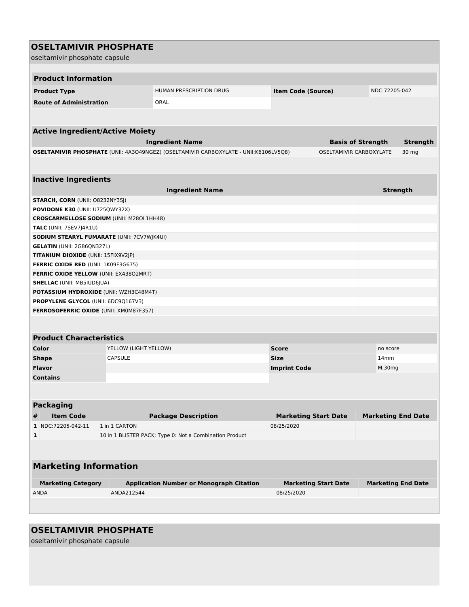|   | <b>OSELTAMIVIR PHOSPHATE</b>                      |                       |                                                                                      |                             |                             |                           |                           |  |
|---|---------------------------------------------------|-----------------------|--------------------------------------------------------------------------------------|-----------------------------|-----------------------------|---------------------------|---------------------------|--|
|   | oseltamivir phosphate capsule                     |                       |                                                                                      |                             |                             |                           |                           |  |
|   |                                                   |                       |                                                                                      |                             |                             |                           |                           |  |
|   | <b>Product Information</b>                        |                       |                                                                                      |                             |                             |                           |                           |  |
|   |                                                   |                       |                                                                                      |                             |                             |                           |                           |  |
|   | <b>Product Type</b>                               |                       | HUMAN PRESCRIPTION DRUG                                                              | <b>Item Code (Source)</b>   |                             | NDC:72205-042             |                           |  |
|   | <b>Route of Administration</b>                    |                       | ORAL                                                                                 |                             |                             |                           |                           |  |
|   |                                                   |                       |                                                                                      |                             |                             |                           |                           |  |
|   |                                                   |                       |                                                                                      |                             |                             |                           |                           |  |
|   | <b>Active Ingredient/Active Moiety</b>            |                       |                                                                                      |                             |                             |                           |                           |  |
|   |                                                   |                       | <b>Ingredient Name</b>                                                               |                             | <b>Basis of Strength</b>    |                           | <b>Strength</b>           |  |
|   |                                                   |                       | OSELTAMIVIR PHOSPHATE (UNII: 4A3O49NGEZ) (OSELTAMIVIR CARBOXYLATE - UNII:K6106LV5Q8) |                             | OSELTAMIVIR CARBOXYLATE     |                           | 30 mg                     |  |
|   |                                                   |                       |                                                                                      |                             |                             |                           |                           |  |
|   |                                                   |                       |                                                                                      |                             |                             |                           |                           |  |
|   | <b>Inactive Ingredients</b>                       |                       |                                                                                      |                             |                             |                           |                           |  |
|   |                                                   |                       | <b>Ingredient Name</b>                                                               |                             |                             |                           | <b>Strength</b>           |  |
|   | <b>STARCH, CORN (UNII: 08232NY3SJ)</b>            |                       |                                                                                      |                             |                             |                           |                           |  |
|   | POVIDONE K30 (UNII: U725QWY32X)                   |                       |                                                                                      |                             |                             |                           |                           |  |
|   | <b>CROSCARMELLOSE SODIUM (UNII: M280L1HH48)</b>   |                       |                                                                                      |                             |                             |                           |                           |  |
|   | TALC (UNII: 7SEV7J4R1U)                           |                       |                                                                                      |                             |                             |                           |                           |  |
|   | <b>SODIUM STEARYL FUMARATE (UNII: 7CV7WJK4UI)</b> |                       |                                                                                      |                             |                             |                           |                           |  |
|   | <b>GELATIN (UNII: 2G86QN327L)</b>                 |                       |                                                                                      |                             |                             |                           |                           |  |
|   | TITANIUM DIOXIDE (UNII: 15FIX9V2JP)               |                       |                                                                                      |                             |                             |                           |                           |  |
|   | <b>FERRIC OXIDE RED (UNII: 1K09F3G675)</b>        |                       |                                                                                      |                             |                             |                           |                           |  |
|   | FERRIC OXIDE YELLOW (UNII: EX43802MRT)            |                       |                                                                                      |                             |                             |                           |                           |  |
|   | <b>SHELLAC (UNII: MB5IUD6JUA)</b>                 |                       |                                                                                      |                             |                             |                           |                           |  |
|   | <b>POTASSIUM HYDROXIDE (UNII: WZH3C48M4T)</b>     |                       |                                                                                      |                             |                             |                           |                           |  |
|   | <b>PROPYLENE GLYCOL (UNII: 6DC9Q167V3)</b>        |                       |                                                                                      |                             |                             |                           |                           |  |
|   | <b>FERROSOFERRIC OXIDE (UNII: XM0M87F357)</b>     |                       |                                                                                      |                             |                             |                           |                           |  |
|   |                                                   |                       |                                                                                      |                             |                             |                           |                           |  |
|   |                                                   |                       |                                                                                      |                             |                             |                           |                           |  |
|   | <b>Product Characteristics</b>                    |                       |                                                                                      |                             |                             |                           |                           |  |
|   | Color                                             | YELLOW (LIGHT YELLOW) |                                                                                      | <b>Score</b>                |                             | no score                  |                           |  |
|   | <b>Shape</b>                                      | <b>CAPSULE</b>        |                                                                                      | <b>Size</b>                 |                             | 14 <sub>mm</sub>          |                           |  |
|   | <b>Flavor</b>                                     |                       |                                                                                      | <b>Imprint Code</b>         |                             | M; 30mg                   |                           |  |
|   | <b>Contains</b>                                   |                       |                                                                                      |                             |                             |                           |                           |  |
|   |                                                   |                       |                                                                                      |                             |                             |                           |                           |  |
|   |                                                   |                       |                                                                                      |                             |                             |                           |                           |  |
|   | <b>Packaging</b>                                  |                       |                                                                                      |                             |                             |                           |                           |  |
| # | <b>Item Code</b>                                  |                       | <b>Package Description</b>                                                           | <b>Marketing Start Date</b> |                             | <b>Marketing End Date</b> |                           |  |
|   | 1 NDC:72205-042-11                                | 1 in 1 CARTON         |                                                                                      | 08/25/2020                  |                             |                           |                           |  |
| 1 |                                                   |                       | 10 in 1 BLISTER PACK; Type 0: Not a Combination Product                              |                             |                             |                           |                           |  |
|   |                                                   |                       |                                                                                      |                             |                             |                           |                           |  |
|   |                                                   |                       |                                                                                      |                             |                             |                           |                           |  |
|   |                                                   |                       |                                                                                      |                             |                             |                           |                           |  |
|   | <b>Marketing Information</b>                      |                       |                                                                                      |                             |                             |                           |                           |  |
|   |                                                   |                       |                                                                                      |                             |                             |                           |                           |  |
|   | <b>Marketing Category</b>                         |                       | <b>Application Number or Monograph Citation</b>                                      |                             | <b>Marketing Start Date</b> |                           | <b>Marketing End Date</b> |  |
|   | <b>ANDA</b>                                       | ANDA212544            |                                                                                      | 08/25/2020                  |                             |                           |                           |  |
|   |                                                   |                       |                                                                                      |                             |                             |                           |                           |  |
|   |                                                   |                       |                                                                                      |                             |                             |                           |                           |  |

# **OSELTAMIVIR PHOSPHATE**

oseltamivir phosphate capsule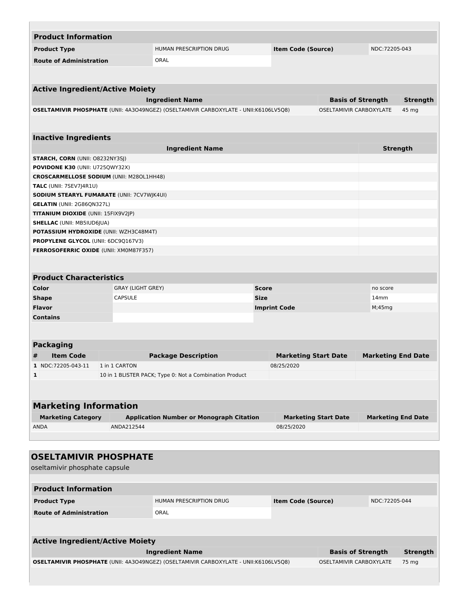| <b>Product Information</b>                        |                          |                                                                                      |                             |                             |                           |                 |  |
|---------------------------------------------------|--------------------------|--------------------------------------------------------------------------------------|-----------------------------|-----------------------------|---------------------------|-----------------|--|
| <b>Product Type</b>                               |                          | <b>HUMAN PRESCRIPTION DRUG</b>                                                       |                             | <b>Item Code (Source)</b>   |                           | NDC:72205-043   |  |
| <b>Route of Administration</b>                    |                          | <b>ORAL</b>                                                                          |                             |                             |                           |                 |  |
|                                                   |                          |                                                                                      |                             |                             |                           |                 |  |
|                                                   |                          |                                                                                      |                             |                             |                           |                 |  |
| <b>Active Ingredient/Active Moiety</b>            |                          |                                                                                      |                             |                             |                           |                 |  |
|                                                   |                          | <b>Ingredient Name</b>                                                               |                             | <b>Basis of Strength</b>    |                           | <b>Strength</b> |  |
|                                                   |                          | OSELTAMIVIR PHOSPHATE (UNII: 4A3O49NGEZ) (OSELTAMIVIR CARBOXYLATE - UNII:K6106LV5Q8) |                             | OSELTAMIVIR CARBOXYLATE     |                           | 45 mg           |  |
|                                                   |                          |                                                                                      |                             |                             |                           |                 |  |
|                                                   |                          |                                                                                      |                             |                             |                           |                 |  |
| <b>Inactive Ingredients</b>                       |                          |                                                                                      |                             |                             |                           |                 |  |
|                                                   |                          | <b>Ingredient Name</b>                                                               |                             |                             | <b>Strength</b>           |                 |  |
| <b>STARCH, CORN (UNII: O8232NY3SJ)</b>            |                          |                                                                                      |                             |                             |                           |                 |  |
| POVIDONE K30 (UNII: U725QWY32X)                   |                          |                                                                                      |                             |                             |                           |                 |  |
| <b>CROSCARMELLOSE SODIUM (UNII: M280L1HH48)</b>   |                          |                                                                                      |                             |                             |                           |                 |  |
| <b>TALC</b> (UNII: 7SEV7J4R1U)                    |                          |                                                                                      |                             |                             |                           |                 |  |
| <b>SODIUM STEARYL FUMARATE (UNII: 7CV7WJK4UI)</b> |                          |                                                                                      |                             |                             |                           |                 |  |
| <b>GELATIN (UNII: 2G86QN327L)</b>                 |                          |                                                                                      |                             |                             |                           |                 |  |
| <b>TITANIUM DIOXIDE (UNII: 15FIX9V2JP)</b>        |                          |                                                                                      |                             |                             |                           |                 |  |
| <b>SHELLAC (UNII: MB5IUD6JUA)</b>                 |                          |                                                                                      |                             |                             |                           |                 |  |
| <b>POTASSIUM HYDROXIDE (UNII: WZH3C48M4T)</b>     |                          |                                                                                      |                             |                             |                           |                 |  |
| <b>PROPYLENE GLYCOL (UNII: 6DC9Q167V3)</b>        |                          |                                                                                      |                             |                             |                           |                 |  |
| <b>FERROSOFERRIC OXIDE (UNII: XM0M87F357)</b>     |                          |                                                                                      |                             |                             |                           |                 |  |
|                                                   |                          |                                                                                      |                             |                             |                           |                 |  |
| <b>Product Characteristics</b>                    |                          |                                                                                      |                             |                             |                           |                 |  |
| Color                                             | <b>GRAY (LIGHT GREY)</b> |                                                                                      | <b>Score</b>                |                             | no score                  |                 |  |
| <b>Shape</b>                                      | <b>CAPSULE</b>           |                                                                                      | <b>Size</b>                 |                             | 14 <sub>mm</sub>          |                 |  |
| <b>Flavor</b>                                     |                          |                                                                                      | <b>Imprint Code</b>         |                             | M;45mg                    |                 |  |
| <b>Contains</b>                                   |                          |                                                                                      |                             |                             |                           |                 |  |
|                                                   |                          |                                                                                      |                             |                             |                           |                 |  |
|                                                   |                          |                                                                                      |                             |                             |                           |                 |  |
| <b>Packaging</b>                                  |                          |                                                                                      |                             |                             |                           |                 |  |
| <b>Item Code</b><br>#                             |                          | <b>Package Description</b>                                                           | <b>Marketing Start Date</b> |                             | <b>Marketing End Date</b> |                 |  |
| 1 NDC:72205-043-11                                | 1 in 1 CARTON            |                                                                                      | 08/25/2020                  |                             |                           |                 |  |
| 1                                                 |                          | 10 in 1 BLISTER PACK; Type 0: Not a Combination Product                              |                             |                             |                           |                 |  |
|                                                   |                          |                                                                                      |                             |                             |                           |                 |  |
|                                                   |                          |                                                                                      |                             |                             |                           |                 |  |
| <b>Marketing Information</b>                      |                          |                                                                                      |                             |                             |                           |                 |  |
| <b>Marketing Category</b>                         |                          | <b>Application Number or Monograph Citation</b>                                      |                             | <b>Marketing Start Date</b> | <b>Marketing End Date</b> |                 |  |
| <b>ANDA</b>                                       | ANDA212544               |                                                                                      | 08/25/2020                  |                             |                           |                 |  |
|                                                   |                          |                                                                                      |                             |                             |                           |                 |  |
|                                                   |                          |                                                                                      |                             |                             |                           |                 |  |
| <b>OSELTAMIVIR PHOSPHATE</b>                      |                          |                                                                                      |                             |                             |                           |                 |  |
| oseltamivir phosphate capsule                     |                          |                                                                                      |                             |                             |                           |                 |  |
|                                                   |                          |                                                                                      |                             |                             |                           |                 |  |
| <b>Product Information</b>                        |                          |                                                                                      |                             |                             |                           |                 |  |
|                                                   |                          |                                                                                      |                             |                             |                           |                 |  |
| <b>Product Type</b>                               |                          | HUMAN PRESCRIPTION DRUG                                                              | <b>Item Code (Source)</b>   |                             | NDC:72205-044             |                 |  |
| <b>Route of Administration</b>                    |                          | ORAL                                                                                 |                             |                             |                           |                 |  |
|                                                   |                          |                                                                                      |                             |                             |                           |                 |  |
|                                                   |                          |                                                                                      |                             |                             |                           |                 |  |
|                                                   |                          |                                                                                      |                             |                             |                           |                 |  |
| <b>Active Ingredient/Active Moiety</b>            |                          |                                                                                      |                             |                             |                           |                 |  |

|  | OSELTAMIVIR PHOSPHATE (UNII: 4A3O49NGEZ) (OSELTAMIVIR CARBOXYLATE - UNII:K6106LV5Q8) | OSELTAMIVIR CARBOXYLATE 75 mg |  |
|--|--------------------------------------------------------------------------------------|-------------------------------|--|
|--|--------------------------------------------------------------------------------------|-------------------------------|--|